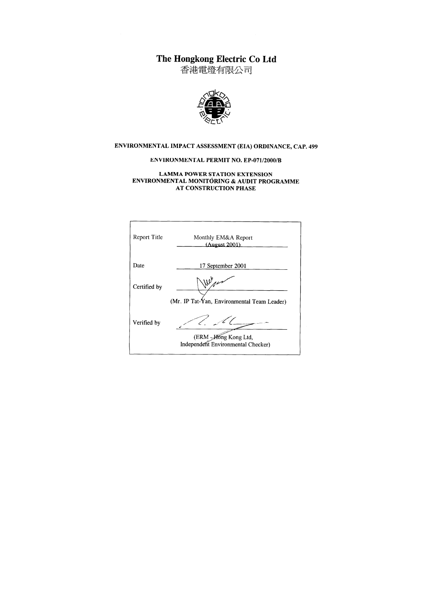The Hongkong Electric Co Ltd<br>香港電燈有限公司



#### ENVIRONMENTAL IMPACT ASSESSMENT (EIA) ORDINANCE, CAP. 499

#### **ENVIRONMENTAL PERMIT NO. EP-071/2000/B**

#### **LAMMA POWER STATION EXTENSION** ENVIRONMENTAL MONITORING & AUDIT PROGRAMME AT CONSTRUCTION PHASE

ł

| Report Title | Monthly EM&A Report<br>(August 2001)                        |
|--------------|-------------------------------------------------------------|
| Date         | 17 September 2001                                           |
| Certified by | (Mr. IP Tat-Yan, Environmental Team Leader)                 |
| Verified by  | (ERM - Hong Kong Ltd,<br>Independent Environmental Checker) |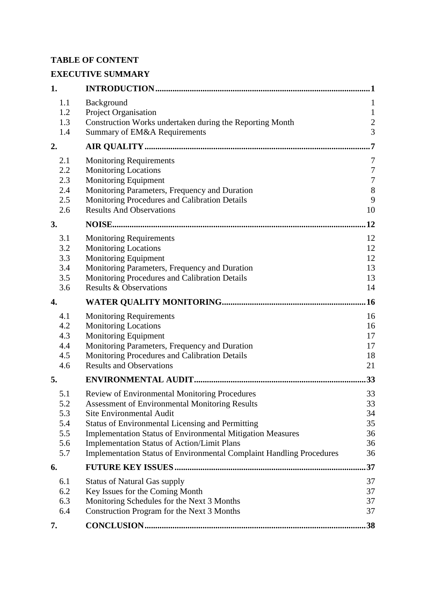## **TABLE OF CONTENT**

# **EXECUTIVE SUMMARY**

| 1.  |                                                                             | 1                |
|-----|-----------------------------------------------------------------------------|------------------|
| 1.1 | Background                                                                  | $\mathbf{1}$     |
| 1.2 | Project Organisation                                                        | $\mathbf{1}$     |
| 1.3 | Construction Works undertaken during the Reporting Month                    | $\overline{c}$   |
| 1.4 | Summary of EM&A Requirements                                                | $\overline{3}$   |
| 2.  |                                                                             | 7                |
| 2.1 | <b>Monitoring Requirements</b>                                              | 7                |
| 2.2 | <b>Monitoring Locations</b>                                                 | $\boldsymbol{7}$ |
| 2.3 | Monitoring Equipment                                                        | $\boldsymbol{7}$ |
| 2.4 | Monitoring Parameters, Frequency and Duration                               | $\,8\,$          |
| 2.5 | Monitoring Procedures and Calibration Details                               | 9                |
| 2.6 | <b>Results And Observations</b>                                             | 10               |
| 3.  |                                                                             | 12               |
| 3.1 | <b>Monitoring Requirements</b>                                              | 12               |
| 3.2 | <b>Monitoring Locations</b>                                                 | 12               |
| 3.3 | Monitoring Equipment                                                        | 12               |
| 3.4 | Monitoring Parameters, Frequency and Duration                               | 13               |
| 3.5 | Monitoring Procedures and Calibration Details                               | 13               |
| 3.6 | <b>Results &amp; Observations</b>                                           | 14               |
| 4.  |                                                                             | .16              |
| 4.1 | <b>Monitoring Requirements</b>                                              | 16               |
| 4.2 | <b>Monitoring Locations</b>                                                 | 16               |
| 4.3 | <b>Monitoring Equipment</b>                                                 | 17               |
| 4.4 | Monitoring Parameters, Frequency and Duration                               | 17               |
| 4.5 | Monitoring Procedures and Calibration Details                               | 18               |
| 4.6 | <b>Results and Observations</b>                                             | 21               |
| 5.  |                                                                             | 33               |
| 5.1 | Review of Environmental Monitoring Procedures                               | 33               |
| 5.2 | <b>Assessment of Environmental Monitoring Results</b>                       | 33               |
| 5.3 | <b>Site Environmental Audit</b>                                             | 34               |
| 5.4 | <b>Status of Environmental Licensing and Permitting</b>                     | 35               |
| 5.5 | <b>Implementation Status of Environmental Mitigation Measures</b>           | 36               |
| 5.6 | <b>Implementation Status of Action/Limit Plans</b>                          | 36               |
| 5.7 | <b>Implementation Status of Environmental Complaint Handling Procedures</b> | 36               |
| 6.  |                                                                             | 37               |
| 6.1 | <b>Status of Natural Gas supply</b>                                         | 37               |
| 6.2 | Key Issues for the Coming Month                                             | 37               |
| 6.3 | Monitoring Schedules for the Next 3 Months                                  | 37               |
| 6.4 | Construction Program for the Next 3 Months                                  | 37               |
| 7.  |                                                                             | .38              |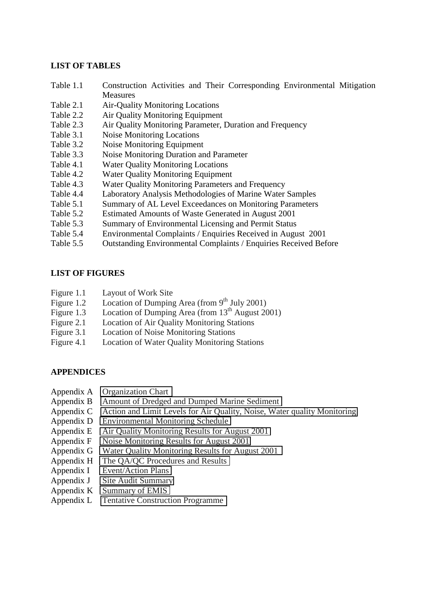#### **LIST OF TABLES**

- Table 1.1 Construction Activities and Their Corresponding Environmental Mitigation Measures
- Table 2.1 Air-Quality Monitoring Locations
- Table 2.2 Air Quality Monitoring Equipment
- Table 2.3 Air Quality Monitoring Parameter, Duration and Frequency
- Table 3.1 Noise Monitoring Locations
- Table 3.2 Noise Monitoring Equipment
- Table 3.3 Noise Monitoring Duration and Parameter
- Table 4.1 Water Quality Monitoring Locations
- Table 4.2 Water Quality Monitoring Equipment
- Table 4.3 Water Quality Monitoring Parameters and Frequency
- Table 4.4 Laboratory Analysis Methodologies of Marine Water Samples
- Table 5.1 Summary of AL Level Exceedances on Monitoring Parameters
- Table 5.2 Estimated Amounts of Waste Generated in August 2001
- Table 5.3 Summary of Environmental Licensing and Permit Status
- Table 5.4 Environmental Complaints / Enquiries Received in August 2001
- Table 5.5 Outstanding Environmental Complaints / Enquiries Received Before

## **LIST OF FIGURES**

- Figure 1.1 Layout of Work Site
- Figure 1.2 Location of Dumping Area (from  $9<sup>th</sup>$  July 2001)
- Figure 1.3 Location of Dumping Area (from  $13<sup>th</sup>$  August 2001)
- Figure 2.1 Location of Air Quality Monitoring Stations
- Figure 3.1 Location of Noise Monitoring Stations
- Figure 4.1 Location of Water Quality Monitoring Stations

## **APPENDICES**

- Appendix A Organization Chart
- Appendix B Amount of Dredged and Dumped Marine Sediment
- Appendix C Action and Limit Levels for Air Quality, Noise, Water quality Monitoring
- Appendix D Environmental Monitoring Schedule
- Appendix E Air Quality Monitoring Results for August 2001
- Appendix F Noise Monitoring Results for August 2001
- Appendix G Water Quality Monitoring Results for August 2001
- Appendix H The QA/QC Procedures and Results
- Appendix I Event/Action Plans
- Appendix J Site Audit Summary
- Appendix K Summary of EMIS
- Appendix L Tentative Construction Programme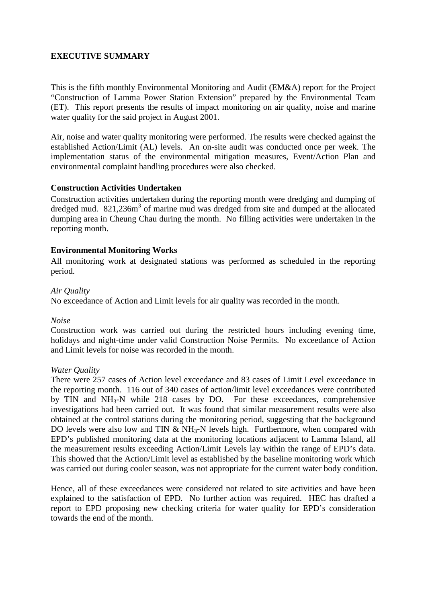## **EXECUTIVE SUMMARY**

This is the fifth monthly Environmental Monitoring and Audit (EM&A) report for the Project "Construction of Lamma Power Station Extension" prepared by the Environmental Team (ET). This report presents the results of impact monitoring on air quality, noise and marine water quality for the said project in August 2001.

Air, noise and water quality monitoring were performed. The results were checked against the established Action/Limit (AL) levels. An on-site audit was conducted once per week. The implementation status of the environmental mitigation measures, Event/Action Plan and environmental complaint handling procedures were also checked.

## **Construction Activities Undertaken**

Construction activities undertaken during the reporting month were dredging and dumping of dredged mud. 821,236m<sup>3</sup> of marine mud was dredged from site and dumped at the allocated dumping area in Cheung Chau during the month. No filling activities were undertaken in the reporting month.

#### **Environmental Monitoring Works**

All monitoring work at designated stations was performed as scheduled in the reporting period.

#### *Air Quality*

No exceedance of Action and Limit levels for air quality was recorded in the month.

#### *Noise*

Construction work was carried out during the restricted hours including evening time, holidays and night-time under valid Construction Noise Permits. No exceedance of Action and Limit levels for noise was recorded in the month.

#### *Water Quality*

There were 257 cases of Action level exceedance and 83 cases of Limit Level exceedance in the reporting month. 116 out of 340 cases of action/limit level exceedances were contributed by TIN and  $NH<sub>3</sub>-N$  while 218 cases by DO. For these exceedances, comprehensive investigations had been carried out. It was found that similar measurement results were also obtained at the control stations during the monitoring period, suggesting that the background DO levels were also low and TIN  $&$  NH<sub>3</sub>-N levels high. Furthermore, when compared with EPD's published monitoring data at the monitoring locations adjacent to Lamma Island, all the measurement results exceeding Action/Limit Levels lay within the range of EPD's data. This showed that the Action/Limit level as established by the baseline monitoring work which was carried out during cooler season, was not appropriate for the current water body condition.

Hence, all of these exceedances were considered not related to site activities and have been explained to the satisfaction of EPD. No further action was required. HEC has drafted a report to EPD proposing new checking criteria for water quality for EPD's consideration towards the end of the month.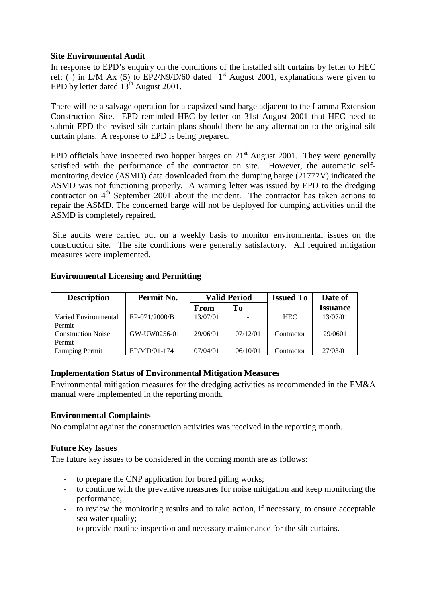#### **Site Environmental Audit**

In response to EPD's enquiry on the conditions of the installed silt curtains by letter to HEC ref: () in L/M Ax (5) to EP2/N9/D/60 dated  $1<sup>st</sup>$  August 2001, explanations were given to EPD by letter dated  $13^{th}$  August 2001.

There will be a salvage operation for a capsized sand barge adjacent to the Lamma Extension Construction Site. EPD reminded HEC by letter on 31st August 2001 that HEC need to submit EPD the revised silt curtain plans should there be any alternation to the original silt curtain plans.A response to EPD is being prepared.

EPD officials have inspected two hopper barges on  $21<sup>st</sup>$  August 2001. They were generally satisfied with the performance of the contractor on site. However, the automatic selfmonitoring device (ASMD) data downloaded from the dumping barge (21777V) indicated the ASMD was not functioning properly. A warning letter was issued by EPD to the dredging contractor on 4<sup>th</sup> September 2001 about the incident. The contractor has taken actions to repair the ASMD. The concerned barge will not be deployed for dumping activities until the ASMD is completely repaired.

Site audits were carried out on a weekly basis to monitor environmental issues on the construction site. The site conditions were generally satisfactory. All required mitigation measures were implemented.

| <b>Description</b>        | Permit No.    | <b>Valid Period</b> |          | <b>Issued To</b> | Date of         |
|---------------------------|---------------|---------------------|----------|------------------|-----------------|
|                           |               | From                | To       |                  | <b>Issuance</b> |
| Varied Environmental      | EP-071/2000/B | 13/07/01            |          | <b>HEC</b>       | 13/07/01        |
| Permit                    |               |                     |          |                  |                 |
| <b>Construction Noise</b> | GW-UW0256-01  | 29/06/01            | 07/12/01 | Contractor       | 29/0601         |
| Permit                    |               |                     |          |                  |                 |
| Dumping Permit            | EP/MD/01-174  | 07/04/01            | 06/10/01 | Contractor       | 27/03/01        |

## **Environmental Licensing and Permitting**

## **Implementation Status of Environmental Mitigation Measures**

Environmental mitigation measures for the dredging activities as recommended in the EM&A manual were implemented in the reporting month.

## **Environmental Complaints**

No complaint against the construction activities was received in the reporting month.

#### **Future Key Issues**

The future key issues to be considered in the coming month are as follows:

- to prepare the CNP application for bored piling works;
- to continue with the preventive measures for noise mitigation and keep monitoring the performance;
- to review the monitoring results and to take action, if necessary, to ensure acceptable sea water quality;
- to provide routine inspection and necessary maintenance for the silt curtains.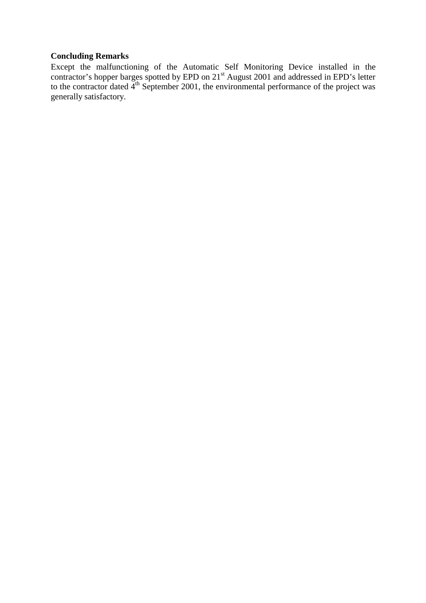## **Concluding Remarks**

Except the malfunctioning of the Automatic Self Monitoring Device installed in the contractor's hopper barges spotted by EPD on 21<sup>st</sup> August 2001 and addressed in EPD's letter to the contractor dated  $4<sup>th</sup>$  September 2001, the environmental performance of the project was generally satisfactory.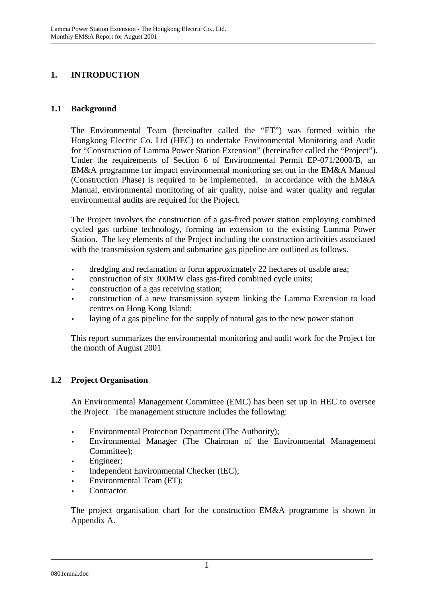## **1. INTRODUCTION**

#### **1.1 Background**

The Environmental Team (hereinafter called the "ET") was formed within the Hongkong Electric Co. Ltd (HEC) to undertake Environmental Monitoring and Audit for "Construction of Lamma Power Station Extension" (hereinafter called the "Project"). Under the requirements of Section 6 of Environmental Permit EP-071/2000/B, an EM&A programme for impact environmental monitoring set out in the EM&A Manual (Construction Phase) is required to be implemented. In accordance with the EM&A Manual, environmental monitoring of air quality, noise and water quality and regular environmental audits are required for the Project.

The Project involves the construction of a gas-fired power station employing combined cycled gas turbine technology, forming an extension to the existing Lamma Power Station. The key elements of the Project including the construction activities associated with the transmission system and submarine gas pipeline are outlined as follows.

- dredging and reclamation to form approximately 22 hectares of usable area;
- construction of six 300MW class gas-fired combined cycle units;
- construction of a gas receiving station;
- construction of a new transmission system linking the Lamma Extension to load centres on Hong Kong Island;
- laying of a gas pipeline for the supply of natural gas to the new power station

This report summarizes the environmental monitoring and audit work for the Project for the month of August 2001

## **1.2 Project Organisation**

An Environmental Management Committee (EMC) has been set up in HEC to oversee the Project. The management structure includes the following:

- Environmental Protection Department (The Authority);
- Environmental Manager (The Chairman of the Environmental Management Committee);
- Engineer:
- Independent Environmental Checker (IEC);
- Environmental Team (ET);
- Contractor.

The project organisation chart for the construction EM&A programme is shown in Appendix A.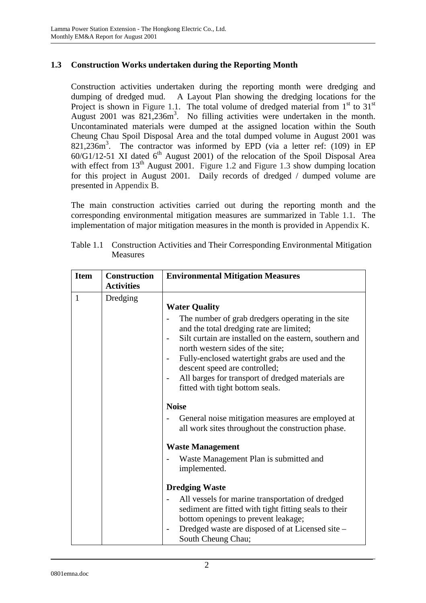## **1.3 Construction Works undertaken during the Reporting Month**

Construction activities undertaken during the reporting month were dredging and dumping of dredged mud. A Layout Plan showing the dredging locations for the Project is shown in Figure 1.1. The total volume of dredged material from  $1<sup>st</sup>$  to  $31<sup>st</sup>$ August  $2001$  was  $821,236m^3$ . No filling activities were undertaken in the month. Uncontaminated materials were dumped at the assigned location within the South Cheung Chau Spoil Disposal Area and the total dumped volume in August 2001 was 821,236m<sup>3</sup> . The contractor was informed by EPD (via a letter ref: (109) in EP  $60/G1/12-51$  XI dated  $6<sup>th</sup>$  August 2001) of the relocation of the Spoil Disposal Area with effect from 13<sup>th</sup> August 2001. Figure 1.2 and Figure 1.3 show dumping location for this project in August 2001. Daily records of dredged / dumped volume are presented in Appendix B.

The main construction activities carried out during the reporting month and the corresponding environmental mitigation measures are summarized in Table 1.1. The implementation of major mitigation measures in the month is provided in Appendix K.

| <b>Item</b>  | <b>Construction</b><br><b>Activities</b> | <b>Environmental Mitigation Measures</b>                                                                                                                                                                                                                                                                                                                                                                                                                                                                                                                                                                         |
|--------------|------------------------------------------|------------------------------------------------------------------------------------------------------------------------------------------------------------------------------------------------------------------------------------------------------------------------------------------------------------------------------------------------------------------------------------------------------------------------------------------------------------------------------------------------------------------------------------------------------------------------------------------------------------------|
| $\mathbf{1}$ | Dredging                                 | <b>Water Quality</b><br>The number of grab dredgers operating in the site<br>and the total dredging rate are limited;<br>Silt curtain are installed on the eastern, southern and<br>north western sides of the site;<br>Fully-enclosed watertight grabs are used and the<br>descent speed are controlled;<br>All barges for transport of dredged materials are<br>fitted with tight bottom seals.<br><b>Noise</b><br>General noise mitigation measures are employed at<br>all work sites throughout the construction phase.<br><b>Waste Management</b><br>Waste Management Plan is submitted and<br>implemented. |
|              |                                          | <b>Dredging Waste</b><br>All vessels for marine transportation of dredged<br>sediment are fitted with tight fitting seals to their<br>bottom openings to prevent leakage;<br>Dredged waste are disposed of at Licensed site -<br>South Cheung Chau;                                                                                                                                                                                                                                                                                                                                                              |

Table 1.1 Construction Activities and Their Corresponding Environmental Mitigation Measures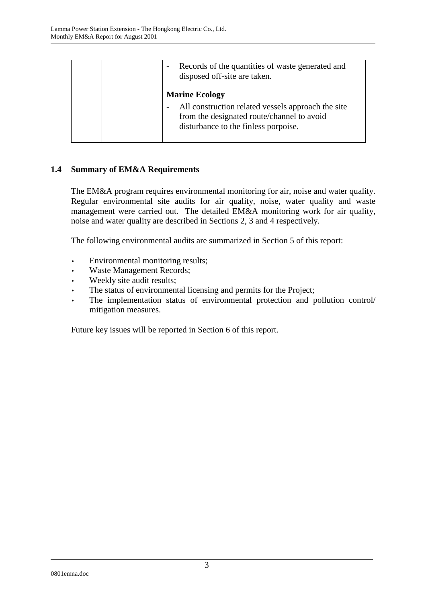| Records of the quantities of waste generated and<br>disposed off-site are taken.                                                                                  |
|-------------------------------------------------------------------------------------------------------------------------------------------------------------------|
| <b>Marine Ecology</b><br>All construction related vessels approach the site<br>from the designated route/channel to avoid<br>disturbance to the finless porpoise. |

## **1.4 Summary of EM&A Requirements**

The EM&A program requires environmental monitoring for air, noise and water quality. Regular environmental site audits for air quality, noise, water quality and waste management were carried out. The detailed EM&A monitoring work for air quality, noise and water quality are described in Sections 2, 3 and 4 respectively.

The following environmental audits are summarized in Section 5 of this report:

- Environmental monitoring results;
- Waste Management Records;
- Weekly site audit results;
- The status of environmental licensing and permits for the Project;
- The implementation status of environmental protection and pollution control/ mitigation measures.

Future key issues will be reported in Section 6 of this report.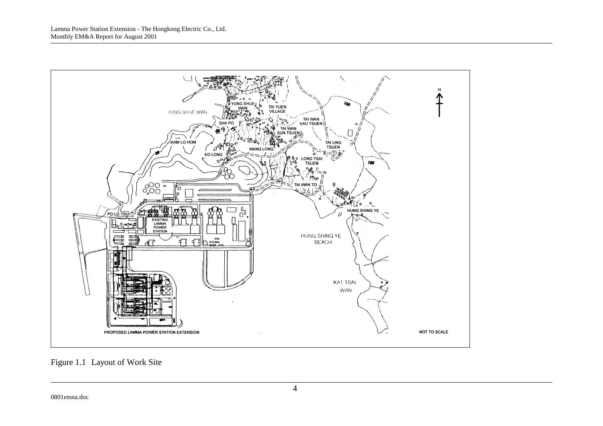

Figure 1.1 Layout of Work Site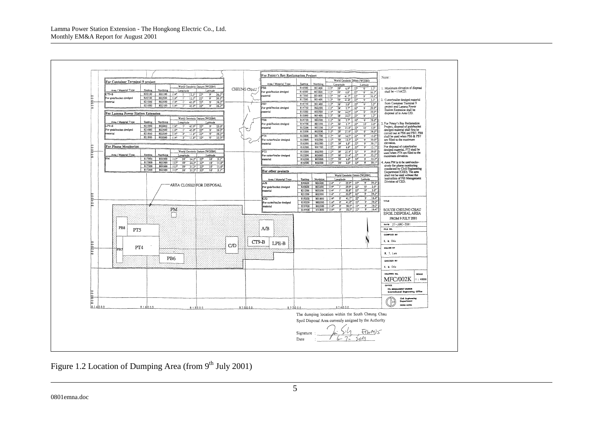

Figure 1.2 Location of Dumping Area (from  $9<sup>th</sup>$  July 2001)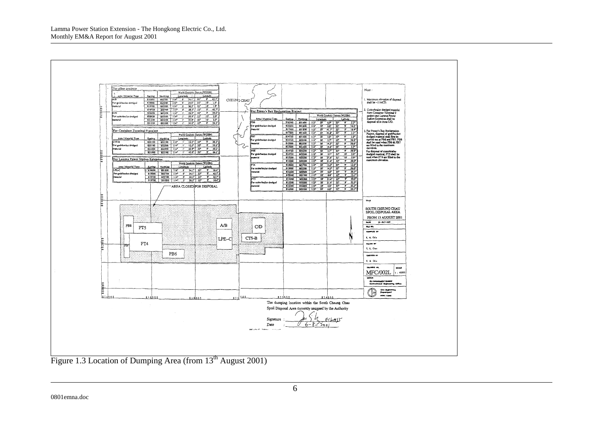Lamma Power Station Extension - The Hongkong Electric Co., Ltd. Monthly EM&A Report for August 2001



Figure 1.3 Location of Dumping Area (from 13<sup>th</sup> August 2001)

0801emna.doc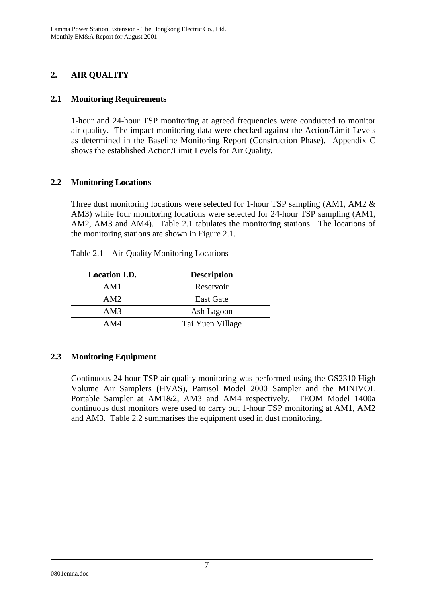## **2. AIR QUALITY**

## **2.1 Monitoring Requirements**

1-hour and 24-hour TSP monitoring at agreed frequencies were conducted to monitor air quality. The impact monitoring data were checked against the Action/Limit Levels as determined in the Baseline Monitoring Report (Construction Phase). Appendix C shows the established Action/Limit Levels for Air Quality.

## **2.2 Monitoring Locations**

Three dust monitoring locations were selected for 1-hour TSP sampling (AM1, AM2 & AM3) while four monitoring locations were selected for 24-hour TSP sampling (AM1, AM2, AM3 and AM4). Table 2.1 tabulates the monitoring stations. The locations of the monitoring stations are shown in Figure 2.1.

| <b>Location I.D.</b> | <b>Description</b> |
|----------------------|--------------------|
| AM1                  | Reservoir          |
| AM2                  | <b>East Gate</b>   |
| AM3                  | Ash Lagoon         |
| AM4                  | Tai Yuen Village   |

Table 2.1 Air-Quality Monitoring Locations

## **2.3 Monitoring Equipment**

Continuous 24-hour TSP air quality monitoring was performed using the GS2310 High Volume Air Samplers (HVAS), Partisol Model 2000 Sampler and the MINIVOL Portable Sampler at AM1&2, AM3 and AM4 respectively. TEOM Model 1400a continuous dust monitors were used to carry out 1-hour TSP monitoring at AM1, AM2 and AM3. Table 2.2 summarises the equipment used in dust monitoring.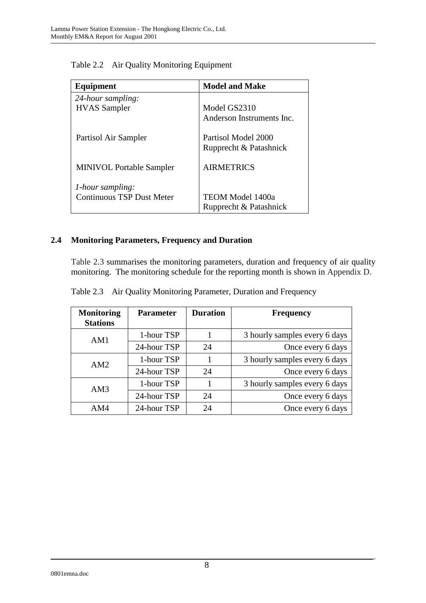| Equipment                        | <b>Model and Make</b>     |
|----------------------------------|---------------------------|
| 24-hour sampling:                |                           |
| <b>HVAS</b> Sampler              | Model GS2310              |
|                                  | Anderson Instruments Inc. |
| Partisol Air Sampler             | Partisol Model 2000       |
|                                  | Rupprecht & Patashnick    |
| <b>MINIVOL Portable Sampler</b>  | <b>AIRMETRICS</b>         |
| 1-hour sampling:                 |                           |
| <b>Continuous TSP Dust Meter</b> | <b>TEOM Model 1400a</b>   |
|                                  | Rupprecht & Patashnick    |

Table 2.2 Air Quality Monitoring Equipment

## **2.4 Monitoring Parameters, Frequency and Duration**

Table 2.3 summarises the monitoring parameters, duration and frequency of air quality monitoring. The monitoring schedule for the reporting month is shown in Appendix D.

|  |  | Table 2.3 Air Quality Monitoring Parameter, Duration and Frequency |  |  |
|--|--|--------------------------------------------------------------------|--|--|
|--|--|--------------------------------------------------------------------|--|--|

| <b>Monitoring</b><br><b>Stations</b> | <b>Parameter</b> | <b>Duration</b> | <b>Frequency</b>              |
|--------------------------------------|------------------|-----------------|-------------------------------|
| AM1                                  | 1-hour TSP       |                 | 3 hourly samples every 6 days |
|                                      | 24-hour TSP      | 24              | Once every 6 days             |
| AM2                                  | 1-hour TSP       |                 | 3 hourly samples every 6 days |
|                                      | 24-hour TSP      | 24              | Once every 6 days             |
| AM3                                  | 1-hour TSP       |                 | 3 hourly samples every 6 days |
|                                      | 24-hour TSP      | 24              | Once every 6 days             |
| AM4                                  | 24-hour TSP      | 24              | Once every 6 days             |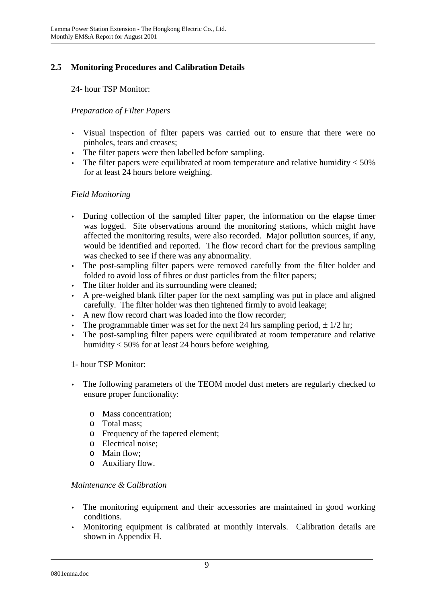## **2.5 Monitoring Procedures and Calibration Details**

24- hour TSP Monitor:

## *Preparation of Filter Papers*

- Visual inspection of filter papers was carried out to ensure that there were no pinholes, tears and creases;
- The filter papers were then labelled before sampling.
- The filter papers were equilibrated at room temperature and relative humidity  $<$  50% for at least 24 hours before weighing.

## *Field Monitoring*

- During collection of the sampled filter paper, the information on the elapse timer was logged. Site observations around the monitoring stations, which might have affected the monitoring results, were also recorded. Major pollution sources, if any, would be identified and reported. The flow record chart for the previous sampling was checked to see if there was any abnormality.
- The post-sampling filter papers were removed carefully from the filter holder and folded to avoid loss of fibres or dust particles from the filter papers;
- The filter holder and its surrounding were cleaned;
- A pre-weighed blank filter paper for the next sampling was put in place and aligned carefully. The filter holder was then tightened firmly to avoid leakage;
- A new flow record chart was loaded into the flow recorder;
- The programmable timer was set for the next 24 hrs sampling period,  $\pm 1/2$  hr;
- The post-sampling filter papers were equilibrated at room temperature and relative humidity < 50% for at least 24 hours before weighing.

## 1- hour TSP Monitor:

- The following parameters of the TEOM model dust meters are regularly checked to ensure proper functionality:
	- o Mass concentration;
	- o Total mass;
	- o Frequency of the tapered element;
	- o Electrical noise;
	- o Main flow;
	- o Auxiliary flow.

## *Maintenance & Calibration*

- The monitoring equipment and their accessories are maintained in good working conditions.
- Monitoring equipment is calibrated at monthly intervals. Calibration details are shown in Appendix H.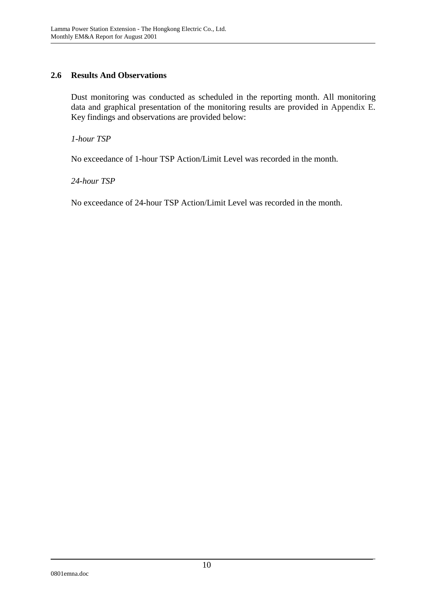## **2.6 Results And Observations**

Dust monitoring was conducted as scheduled in the reporting month. All monitoring data and graphical presentation of the monitoring results are provided in Appendix E. Key findings and observations are provided below:

*1-hour TSP* 

No exceedance of 1-hour TSP Action/Limit Level was recorded in the month.

*24-hour TSP* 

No exceedance of 24-hour TSP Action/Limit Level was recorded in the month.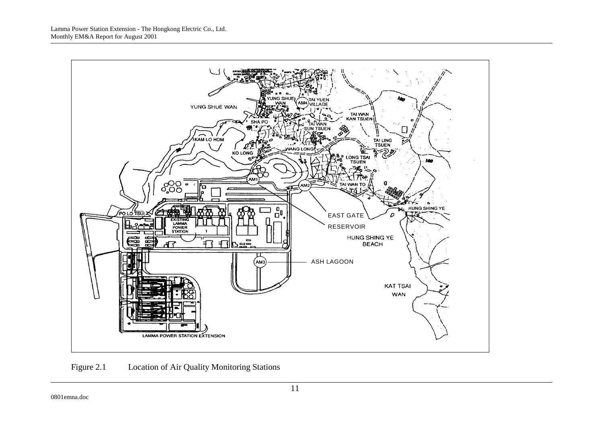

Figure 2.1 Location of Air Quality Monitoring Stations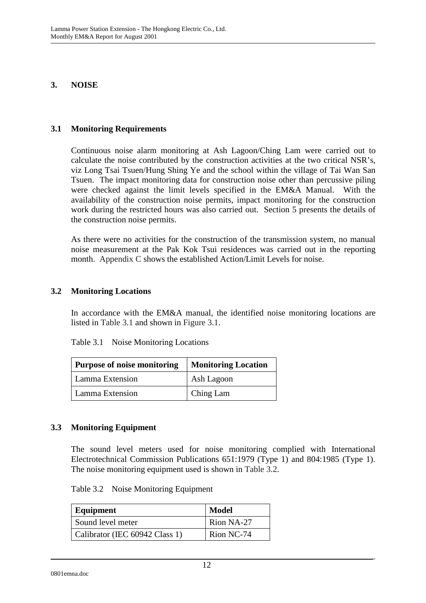#### **3. NOISE**

#### **3.1 Monitoring Requirements**

Continuous noise alarm monitoring at Ash Lagoon/Ching Lam were carried out to calculate the noise contributed by the construction activities at the two critical NSR's, viz Long Tsai Tsuen/Hung Shing Ye and the school within the village of Tai Wan San Tsuen. The impact monitoring data for construction noise other than percussive piling were checked against the limit levels specified in the EM&A Manual. With the availability of the construction noise permits, impact monitoring for the construction work during the restricted hours was also carried out. Section 5 presents the details of the construction noise permits.

As there were no activities for the construction of the transmission system, no manual noise measurement at the Pak Kok Tsui residences was carried out in the reporting month. Appendix C shows the established Action/Limit Levels for noise.

#### **3.2 Monitoring Locations**

In accordance with the EM&A manual, the identified noise monitoring locations are listed in Table 3.1 and shown in Figure 3.1.

| <b>Purpose of noise monitoring</b> | <b>Monitoring Location</b> |  |
|------------------------------------|----------------------------|--|
| Lamma Extension                    | Ash Lagoon                 |  |
| Lamma Extension                    | Ching Lam                  |  |

#### **3.3 Monitoring Equipment**

The sound level meters used for noise monitoring complied with International Electrotechnical Commission Publications 651:1979 (Type 1) and 804:1985 (Type 1). The noise monitoring equipment used is shown in Table 3.2.

Table 3.2 Noise Monitoring Equipment

| Equipment                      | Model      |
|--------------------------------|------------|
| Sound level meter              | Rion NA-27 |
| Calibrator (IEC 60942 Class 1) | Rion NC-74 |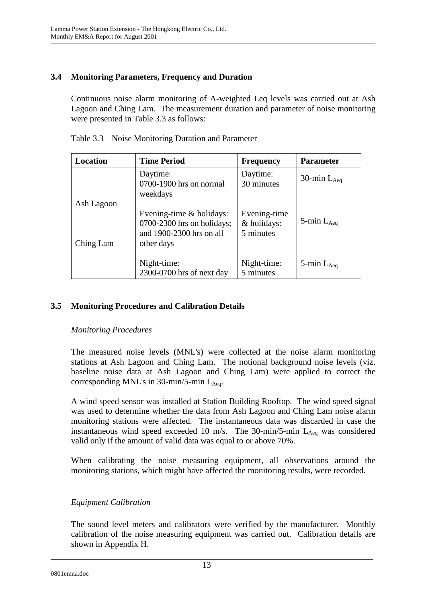## **3.4 Monitoring Parameters, Frequency and Duration**

Continuous noise alarm monitoring of A-weighted Leq levels was carried out at Ash Lagoon and Ching Lam. The measurement duration and parameter of noise monitoring were presented in Table 3.3 as follows:

| Location   | <b>Time Period</b>                                                                                   | <b>Frequency</b>                         | <b>Parameter</b>   |
|------------|------------------------------------------------------------------------------------------------------|------------------------------------------|--------------------|
|            | Daytime:<br>0700-1900 hrs on normal<br>weekdays                                                      | Daytime:<br>30 minutes                   | 30-min $L_{Aeq}$   |
| Ash Lagoon |                                                                                                      |                                          |                    |
| Ching Lam  | Evening-time $&$ holidays:<br>$0700-2300$ hrs on holidays;<br>and 1900-2300 hrs on all<br>other days | Evening-time<br>& holidays:<br>5 minutes | 5-min $L_{Aeq}$    |
|            | Night-time:<br>2300-0700 hrs of next day                                                             | Night-time:<br>5 minutes                 | $5$ -min $L_{Aea}$ |

Table 3.3 Noise Monitoring Duration and Parameter

## **3.5 Monitoring Procedures and Calibration Details**

## *Monitoring Procedures*

The measured noise levels (MNL's) were collected at the noise alarm monitoring stations at Ash Lagoon and Ching Lam. The notional background noise levels (viz. baseline noise data at Ash Lagoon and Ching Lam) were applied to correct the corresponding MNL's in  $30$ -min/5-min L<sub>Aeq</sub>.

A wind speed sensor was installed at Station Building Rooftop. The wind speed signal was used to determine whether the data from Ash Lagoon and Ching Lam noise alarm monitoring stations were affected. The instantaneous data was discarded in case the instantaneous wind speed exceeded 10 m/s. The  $30$ -min/5-min  $L_{Aeq}$  was considered valid only if the amount of valid data was equal to or above 70%.

When calibrating the noise measuring equipment, all observations around the monitoring stations, which might have affected the monitoring results, were recorded.

## *Equipment Calibration*

The sound level meters and calibrators were verified by the manufacturer. Monthly calibration of the noise measuring equipment was carried out. Calibration details are shown in Appendix H.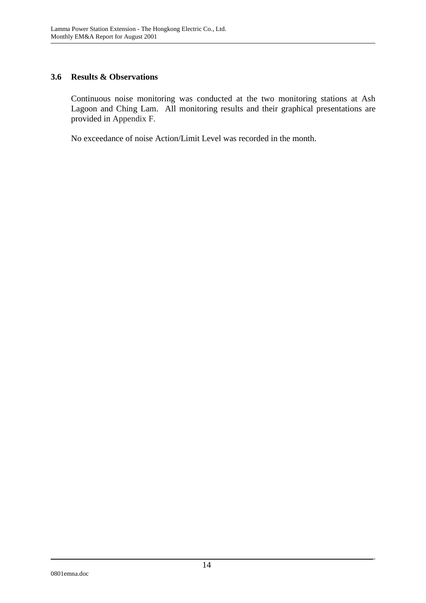## **3.6 Results & Observations**

Continuous noise monitoring was conducted at the two monitoring stations at Ash Lagoon and Ching Lam. All monitoring results and their graphical presentations are provided in Appendix F.

No exceedance of noise Action/Limit Level was recorded in the month.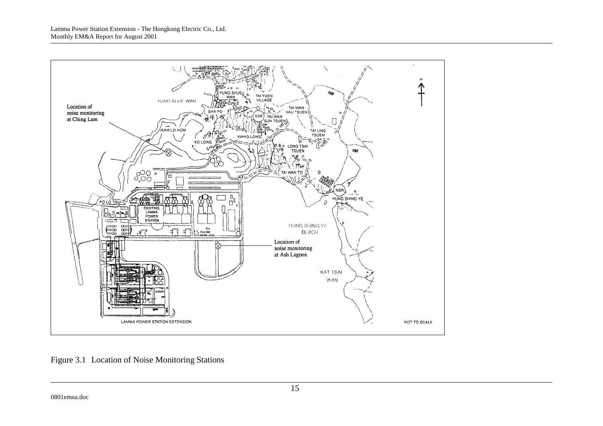

Figure 3.1 Location of Noise Monitoring Stations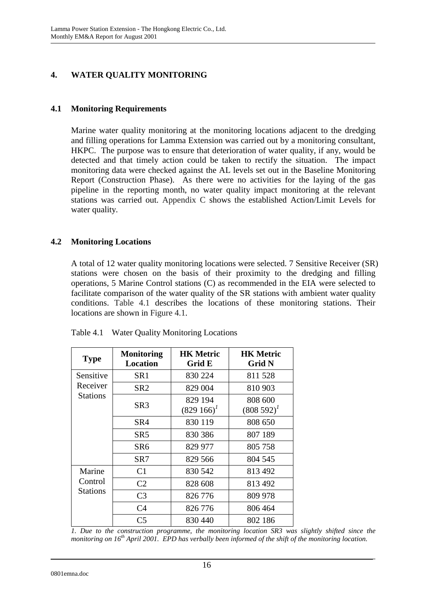## **4. WATER QUALITY MONITORING**

## **4.1 Monitoring Requirements**

Marine water quality monitoring at the monitoring locations adjacent to the dredging and filling operations for Lamma Extension was carried out by a monitoring consultant, HKPC. The purpose was to ensure that deterioration of water quality, if any, would be detected and that timely action could be taken to rectify the situation. The impact monitoring data were checked against the AL levels set out in the Baseline Monitoring Report (Construction Phase). As there were no activities for the laying of the gas pipeline in the reporting month, no water quality impact monitoring at the relevant stations was carried out. Appendix C shows the established Action/Limit Levels for water quality.

## **4.2 Monitoring Locations**

A total of 12 water quality monitoring locations were selected. 7 Sensitive Receiver (SR) stations were chosen on the basis of their proximity to the dredging and filling operations, 5 Marine Control stations (C) as recommended in the EIA were selected to facilitate comparison of the water quality of the SR stations with ambient water quality conditions. Table 4.1 describes the locations of these monitoring stations. Their locations are shown in Figure 4.1.

| <b>Type</b>                          | <b>Monitoring</b><br><b>Location</b> | <b>HK</b> Metric<br>Grid E  | <b>HK Metric</b><br><b>Grid N</b> |
|--------------------------------------|--------------------------------------|-----------------------------|-----------------------------------|
| Sensitive                            | SR <sub>1</sub>                      | 830 224                     | 811 528                           |
| Receiver                             | SR2                                  | 829 004                     | 810 903                           |
| <b>Stations</b>                      | SR3                                  | 829 194<br>$(829\;166)^{1}$ | 808 600<br>$(808592)^{1}$         |
|                                      | SR4                                  | 830 119                     | 808 650                           |
|                                      | SR5                                  | 830 386                     | 807 189                           |
|                                      | SR <sub>6</sub>                      | 829 977                     | 805 758                           |
|                                      | SR7                                  | 829 566                     | 804 545                           |
| Marine<br>Control<br><b>Stations</b> | C <sub>1</sub>                       | 830 542                     | 813 492                           |
|                                      | C <sub>2</sub>                       | 828 608                     | 813 492                           |
|                                      | C <sub>3</sub>                       | 826 776                     | 809 978                           |
|                                      | C <sub>4</sub>                       | 826 776                     | 806 464                           |
|                                      | C <sub>5</sub>                       | 830 440                     | 802 186                           |

Table 4.1 Water Quality Monitoring Locations

*1. Due to the construction programme, the monitoring location SR3 was slightly shifted since the monitoring on 16th April 2001. EPD has verbally been informed of the shift of the monitoring location.*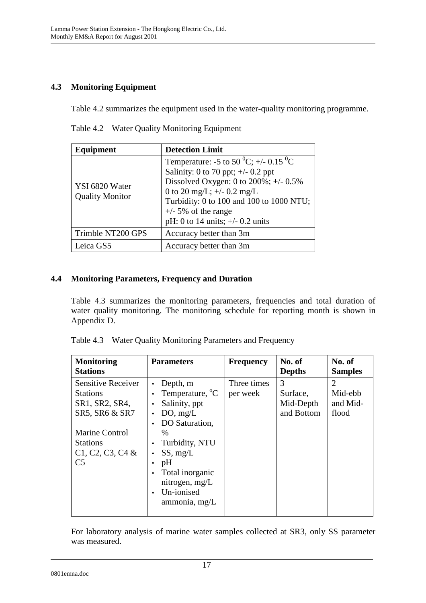## **4.3 Monitoring Equipment**

Table 4.2 summarizes the equipment used in the water-quality monitoring programme.

|  | Table 4.2 Water Quality Monitoring Equipment |  |  |
|--|----------------------------------------------|--|--|
|--|----------------------------------------------|--|--|

| Equipment                                | <b>Detection Limit</b>                                                                                                                                                                                                                                                                           |
|------------------------------------------|--------------------------------------------------------------------------------------------------------------------------------------------------------------------------------------------------------------------------------------------------------------------------------------------------|
| YSI 6820 Water<br><b>Quality Monitor</b> | Temperature: -5 to 50 <sup>0</sup> C; +/- 0.15 <sup>0</sup> C<br>Salinity: 0 to 70 ppt; $\pm$ /- 0.2 ppt<br>Dissolved Oxygen: 0 to $200\%$ ; +/- 0.5%<br>0 to 20 mg/L; $+/-$ 0.2 mg/L<br>Turbidity: 0 to 100 and 100 to 1000 NTU;<br>$+/-$ 5% of the range<br>pH: 0 to 14 units; $+/- 0.2$ units |
| Trimble NT200 GPS                        | Accuracy better than 3m                                                                                                                                                                                                                                                                          |
| Leica GS5                                | Accuracy better than 3m                                                                                                                                                                                                                                                                          |

## **4.4 Monitoring Parameters, Frequency and Duration**

Table 4.3 summarizes the monitoring parameters, frequencies and total duration of water quality monitoring. The monitoring schedule for reporting month is shown in Appendix D.

| Table 4.3 Water Quality Monitoring Parameters and Frequency |  |
|-------------------------------------------------------------|--|
|                                                             |  |

| <b>Monitoring</b><br><b>Stations</b>                                                                                                                          | <b>Parameters</b>                                                                                                                                                                                                   | <b>Frequency</b>        | No. of<br><b>Depths</b>                  | No. of<br><b>Samples</b>                       |
|---------------------------------------------------------------------------------------------------------------------------------------------------------------|---------------------------------------------------------------------------------------------------------------------------------------------------------------------------------------------------------------------|-------------------------|------------------------------------------|------------------------------------------------|
| <b>Sensitive Receiver</b><br><b>Stations</b><br>SR1, SR2, SR4,<br>SR5, SR6 & SR7<br>Marine Control<br><b>Stations</b><br>$C1, C2, C3, C4$ &<br>C <sub>5</sub> | Depth, m<br>Temperature, <sup>o</sup> C<br>Salinity, ppt<br>$\bullet$<br>DO, mg/L<br>DO Saturation,<br>$\%$<br>Turbidity, NTU<br>SS, mg/L<br>pH<br>Total inorganic<br>nitrogen, mg/L<br>Un-ionised<br>ammonia, mg/L | Three times<br>per week | 3<br>Surface,<br>Mid-Depth<br>and Bottom | $\overline{2}$<br>Mid-ebb<br>and Mid-<br>flood |
|                                                                                                                                                               |                                                                                                                                                                                                                     |                         |                                          |                                                |

For laboratory analysis of marine water samples collected at SR3, only SS parameter was measured.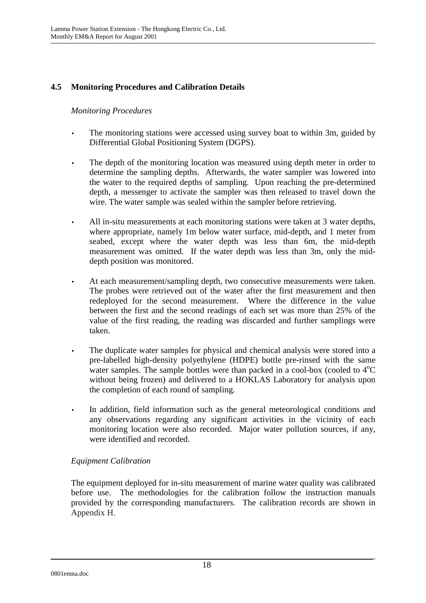## **4.5 Monitoring Procedures and Calibration Details**

## *Monitoring Procedures*

- The monitoring stations were accessed using survey boat to within 3m, guided by Differential Global Positioning System (DGPS).
- The depth of the monitoring location was measured using depth meter in order to determine the sampling depths. Afterwards, the water sampler was lowered into the water to the required depths of sampling. Upon reaching the pre-determined depth, a messenger to activate the sampler was then released to travel down the wire. The water sample was sealed within the sampler before retrieving.
- All in-situ measurements at each monitoring stations were taken at 3 water depths, where appropriate, namely 1m below water surface, mid-depth, and 1 meter from seabed, except where the water depth was less than 6m, the mid-depth measurement was omitted. If the water depth was less than 3m, only the middepth position was monitored.
- At each measurement/sampling depth, two consecutive measurements were taken. The probes were retrieved out of the water after the first measurement and then redeployed for the second measurement. Where the difference in the value between the first and the second readings of each set was more than 25% of the value of the first reading, the reading was discarded and further samplings were taken.
- The duplicate water samples for physical and chemical analysis were stored into a pre-labelled high-density polyethylene (HDPE) bottle pre-rinsed with the same water samples. The sample bottles were than packed in a cool-box (cooled to  $4^{\circ}C$ without being frozen) and delivered to a HOKLAS Laboratory for analysis upon the completion of each round of sampling.
- In addition, field information such as the general meteorological conditions and any observations regarding any significant activities in the vicinity of each monitoring location were also recorded. Major water pollution sources, if any, were identified and recorded.

## *Equipment Calibration*

The equipment deployed for in-situ measurement of marine water quality was calibrated before use. The methodologies for the calibration follow the instruction manuals provided by the corresponding manufacturers. The calibration records are shown in Appendix H.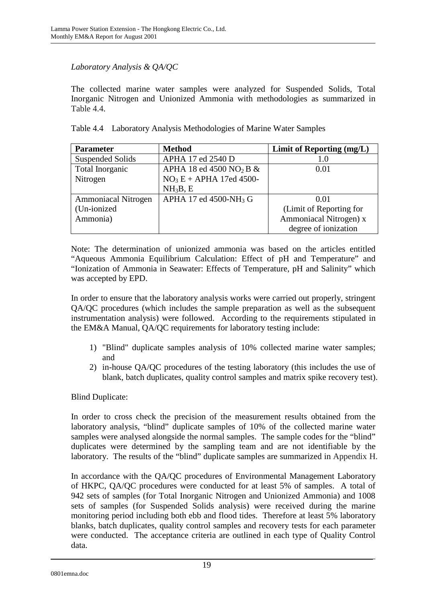## *Laboratory Analysis & QA/QC*

The collected marine water samples were analyzed for Suspended Solids, Total Inorganic Nitrogen and Unionized Ammonia with methodologies as summarized in Table 4.4.

|  |  |  |  |  | Table 4.4 Laboratory Analysis Methodologies of Marine Water Samples |
|--|--|--|--|--|---------------------------------------------------------------------|
|--|--|--|--|--|---------------------------------------------------------------------|

| <b>Parameter</b>           | <b>Method</b>                          | Limit of Reporting (mg/L) |
|----------------------------|----------------------------------------|---------------------------|
| <b>Suspended Solids</b>    | APHA 17 ed 2540 D                      | 1.0                       |
| Total Inorganic            | APHA 18 ed 4500 NO <sub>2</sub> B $\&$ | 0.01                      |
| Nitrogen                   | $NO3E + APHA$ 17ed 4500-               |                           |
|                            | NH <sub>3</sub> B, E                   |                           |
| <b>Ammoniacal Nitrogen</b> | APHA 17 ed 4500-NH <sub>3</sub> G      | 0.01                      |
| (Un-ionized                |                                        | (Limit of Reporting for   |
| Ammonia)                   |                                        | Ammoniacal Nitrogen) x    |
|                            |                                        | degree of ionization      |

Note: The determination of unionized ammonia was based on the articles entitled "Aqueous Ammonia Equilibrium Calculation: Effect of pH and Temperature" and "Ionization of Ammonia in Seawater: Effects of Temperature, pH and Salinity" which was accepted by EPD.

In order to ensure that the laboratory analysis works were carried out properly, stringent QA/QC procedures (which includes the sample preparation as well as the subsequent instrumentation analysis) were followed. According to the requirements stipulated in the EM&A Manual, QA/QC requirements for laboratory testing include:

- 1) "Blind" duplicate samples analysis of 10% collected marine water samples; and
- 2) in-house QA/QC procedures of the testing laboratory (this includes the use of blank, batch duplicates, quality control samples and matrix spike recovery test).

Blind Duplicate:

In order to cross check the precision of the measurement results obtained from the laboratory analysis, "blind" duplicate samples of 10% of the collected marine water samples were analysed alongside the normal samples. The sample codes for the "blind" duplicates were determined by the sampling team and are not identifiable by the laboratory. The results of the "blind" duplicate samples are summarized in Appendix H.

In accordance with the QA/QC procedures of Environmental Management Laboratory of HKPC, QA/QC procedures were conducted for at least 5% of samples. A total of 942 sets of samples (for Total Inorganic Nitrogen and Unionized Ammonia) and 1008 sets of samples (for Suspended Solids analysis) were received during the marine monitoring period including both ebb and flood tides. Therefore at least 5% laboratory blanks, batch duplicates, quality control samples and recovery tests for each parameter were conducted. The acceptance criteria are outlined in each type of Quality Control data.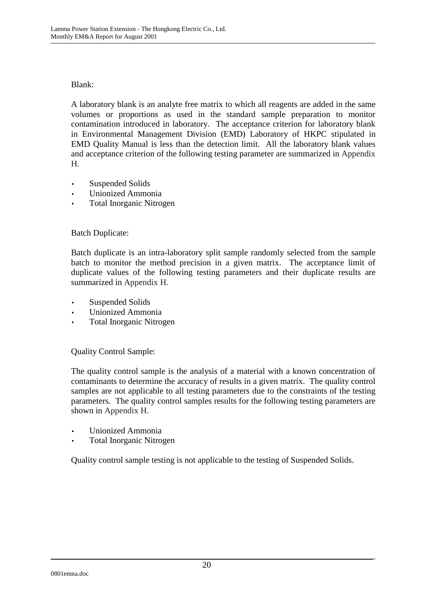## Blank:

A laboratory blank is an analyte free matrix to which all reagents are added in the same volumes or proportions as used in the standard sample preparation to monitor contamination introduced in laboratory. The acceptance criterion for laboratory blank in Environmental Management Division (EMD) Laboratory of HKPC stipulated in EMD Quality Manual is less than the detection limit. All the laboratory blank values and acceptance criterion of the following testing parameter are summarized in Appendix H.

- Suspended Solids
- Unionized Ammonia
- Total Inorganic Nitrogen

## Batch Duplicate:

Batch duplicate is an intra-laboratory split sample randomly selected from the sample batch to monitor the method precision in a given matrix. The acceptance limit of duplicate values of the following testing parameters and their duplicate results are summarized in Appendix H.

- Suspended Solids
- Unionized Ammonia
- Total Inorganic Nitrogen

Quality Control Sample:

The quality control sample is the analysis of a material with a known concentration of contaminants to determine the accuracy of results in a given matrix. The quality control samples are not applicable to all testing parameters due to the constraints of the testing parameters. The quality control samples results for the following testing parameters are shown in Appendix H.

- Unionized Ammonia
- Total Inorganic Nitrogen

Quality control sample testing is not applicable to the testing of Suspended Solids.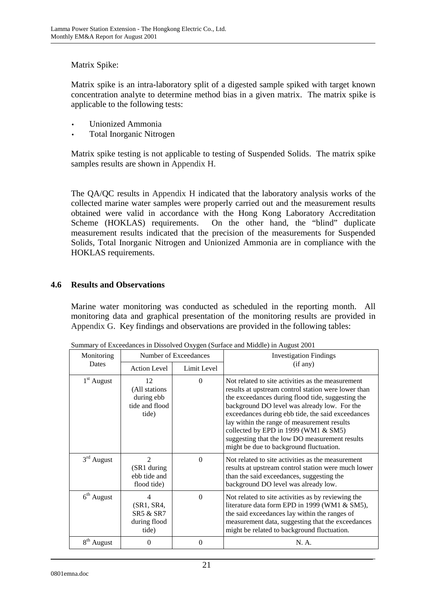## Matrix Spike:

Matrix spike is an intra-laboratory split of a digested sample spiked with target known concentration analyte to determine method bias in a given matrix. The matrix spike is applicable to the following tests:

- Unionized Ammonia
- Total Inorganic Nitrogen

Matrix spike testing is not applicable to testing of Suspended Solids. The matrix spike samples results are shown in Appendix H.

The QA/QC results in Appendix H indicated that the laboratory analysis works of the collected marine water samples were properly carried out and the measurement results obtained were valid in accordance with the Hong Kong Laboratory Accreditation Scheme (HOKLAS) requirements. On the other hand, the "blind" duplicate measurement results indicated that the precision of the measurements for Suspended Solids, Total Inorganic Nitrogen and Unionized Ammonia are in compliance with the HOKLAS requirements.

## **4.6 Results and Observations**

Marine water monitoring was conducted as scheduled in the reporting month. All monitoring data and graphical presentation of the monitoring results are provided in Appendix G. Key findings and observations are provided in the following tables:

| Monitoring             | Number of Exceedances                                         |             | <b>Investigation Findings</b>                                                                                                                                                                                                                                                                                                                                                                                                                          |
|------------------------|---------------------------------------------------------------|-------------|--------------------------------------------------------------------------------------------------------------------------------------------------------------------------------------------------------------------------------------------------------------------------------------------------------------------------------------------------------------------------------------------------------------------------------------------------------|
| <b>Dates</b>           | <b>Action Level</b>                                           | Limit Level | (if any)                                                                                                                                                                                                                                                                                                                                                                                                                                               |
| $1st$ August           | 12<br>(All stations)<br>during ebb<br>tide and flood<br>tide) | $\Omega$    | Not related to site activities as the measurement<br>results at upstream control station were lower than<br>the exceedances during flood tide, suggesting the<br>background DO level was already low. For the<br>exceedances during ebb tide, the said exceedances<br>lay within the range of measurement results<br>collected by EPD in 1999 (WM1 & SM5)<br>suggesting that the low DO measurement results<br>might be due to background fluctuation. |
| $3rd$ August           | $\mathfrak{D}$<br>(SR1 during<br>ebb tide and<br>flood tide)  | $\Omega$    | Not related to site activities as the measurement<br>results at upstream control station were much lower<br>than the said exceedances, suggesting the<br>background DO level was already low.                                                                                                                                                                                                                                                          |
| $6th$ August           | 4<br>(SR1, SR4,<br>SR5 & SR7<br>during flood<br>tide)         | $\Omega$    | Not related to site activities as by reviewing the<br>literature data form EPD in 1999 (WM1 & SM5),<br>the said exceedances lay within the ranges of<br>measurement data, suggesting that the exceedances<br>might be related to background fluctuation.                                                                                                                                                                                               |
| 8 <sup>th</sup> August | $\Omega$                                                      | $\Omega$    | N. A.                                                                                                                                                                                                                                                                                                                                                                                                                                                  |

Summary of Exceedances in Dissolved Oxygen (Surface and Middle) in August 2001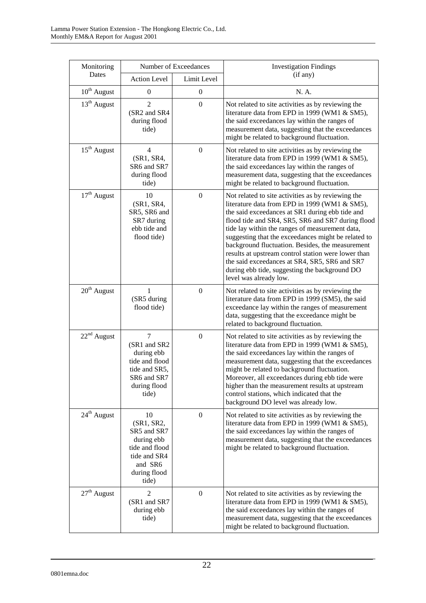| Monitoring       | Number of Exceedances                                                                                                   |                  | <b>Investigation Findings</b>                                                                                                                                                                                                                                                                                                                                                                                                                                                                                                                                |  |
|------------------|-------------------------------------------------------------------------------------------------------------------------|------------------|--------------------------------------------------------------------------------------------------------------------------------------------------------------------------------------------------------------------------------------------------------------------------------------------------------------------------------------------------------------------------------------------------------------------------------------------------------------------------------------------------------------------------------------------------------------|--|
| Dates            | <b>Action Level</b>                                                                                                     | Limit Level      | (if any)                                                                                                                                                                                                                                                                                                                                                                                                                                                                                                                                                     |  |
| $10^{th}$ August | $\mathbf{0}$                                                                                                            | $\boldsymbol{0}$ | N. A.                                                                                                                                                                                                                                                                                                                                                                                                                                                                                                                                                        |  |
| $13th$ August    | $\overline{2}$<br>(SR2 and SR4<br>during flood<br>tide)                                                                 | $\boldsymbol{0}$ | Not related to site activities as by reviewing the<br>literature data from EPD in 1999 (WM1 & SM5),<br>the said exceedances lay within the ranges of<br>measurement data, suggesting that the exceedances<br>might be related to background fluctuation.                                                                                                                                                                                                                                                                                                     |  |
| $15^{th}$ August | 4<br>(SR1, SR4,<br>SR6 and SR7<br>during flood<br>tide)                                                                 | $\boldsymbol{0}$ | Not related to site activities as by reviewing the<br>literature data from EPD in 1999 (WM1 & SM5),<br>the said exceedances lay within the ranges of<br>measurement data, suggesting that the exceedances<br>might be related to background fluctuation.                                                                                                                                                                                                                                                                                                     |  |
| $17th$ August    | 10<br>(SR1, SR4,<br>SR5, SR6 and<br>SR7 during<br>ebb tide and<br>flood tide)                                           | $\boldsymbol{0}$ | Not related to site activities as by reviewing the<br>literature data from EPD in 1999 (WM1 & SM5),<br>the said exceedances at SR1 during ebb tide and<br>flood tide and SR4, SR5, SR6 and SR7 during flood<br>tide lay within the ranges of measurement data,<br>suggesting that the exceedances might be related to<br>background fluctuation. Besides, the measurement<br>results at upstream control station were lower than<br>the said exceedances at SR4, SR5, SR6 and SR7<br>during ebb tide, suggesting the background DO<br>level was already low. |  |
| $20th$ August    | 1<br>(SR5 during<br>flood tide)                                                                                         | $\overline{0}$   | Not related to site activities as by reviewing the<br>literature data from EPD in 1999 (SM5), the said<br>exceedance lay within the ranges of measurement<br>data, suggesting that the exceedance might be<br>related to background fluctuation.                                                                                                                                                                                                                                                                                                             |  |
| $22nd$ August    | $\overline{7}$<br>(SR1 and SR2<br>during ebb<br>tide and flood<br>tide and SR5,<br>SR6 and SR7<br>during flood<br>tide) | $\boldsymbol{0}$ | Not related to site activities as by reviewing the<br>literature data from EPD in 1999 (WM1 & SM5),<br>the said exceedances lay within the ranges of<br>measurement data, suggesting that the exceedances<br>might be related to background fluctuation.<br>Moreover, all exceedances during ebb tide were<br>higher than the measurement results at upstream<br>control stations, which indicated that the<br>background DO level was already low.                                                                                                          |  |
| $24th$ August    | 10<br>(SR1, SR2,<br>SR5 and SR7<br>during ebb<br>tide and flood<br>tide and SR4<br>and SR6<br>during flood<br>tide)     | $\boldsymbol{0}$ | Not related to site activities as by reviewing the<br>literature data from EPD in 1999 (WM1 & SM5),<br>the said exceedances lay within the ranges of<br>measurement data, suggesting that the exceedances<br>might be related to background fluctuation.                                                                                                                                                                                                                                                                                                     |  |
| $27th$ August    | 2<br>(SR1 and SR7<br>during ebb<br>tide)                                                                                | $\boldsymbol{0}$ | Not related to site activities as by reviewing the<br>literature data from EPD in 1999 (WM1 & SM5),<br>the said exceedances lay within the ranges of<br>measurement data, suggesting that the exceedances<br>might be related to background fluctuation.                                                                                                                                                                                                                                                                                                     |  |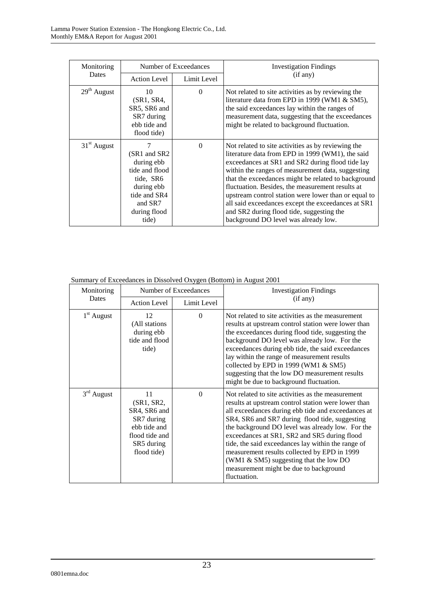| Monitoring<br>Dates | Number of Exceedances                                                                                                        |             | <b>Investigation Findings</b>                                                                                                                                                                                                                                                                                                                                                                                                                                                                                                 |
|---------------------|------------------------------------------------------------------------------------------------------------------------------|-------------|-------------------------------------------------------------------------------------------------------------------------------------------------------------------------------------------------------------------------------------------------------------------------------------------------------------------------------------------------------------------------------------------------------------------------------------------------------------------------------------------------------------------------------|
|                     | <b>Action Level</b>                                                                                                          | Limit Level | (if any)                                                                                                                                                                                                                                                                                                                                                                                                                                                                                                                      |
| $29th$ August       | 10<br>(SR1, SR4,<br>SR5, SR6 and<br>SR7 during<br>ebb tide and<br>flood tide)                                                | $\Omega$    | Not related to site activities as by reviewing the<br>literature data from EPD in 1999 (WM1 & SM5),<br>the said exceedances lay within the ranges of<br>measurement data, suggesting that the exceedances<br>might be related to background fluctuation.                                                                                                                                                                                                                                                                      |
| $31st$ August       | (SR1 and SR2)<br>during ebb<br>tide and flood<br>tide, SR6<br>during ebb<br>tide and SR4<br>and SR7<br>during flood<br>tide) | $\Omega$    | Not related to site activities as by reviewing the<br>literature data from EPD in 1999 (WM1), the said<br>exceedances at SR1 and SR2 during flood tide lay<br>within the ranges of measurement data, suggesting<br>that the exceedances might be related to background<br>fluctuation. Besides, the measurement results at<br>upstream control station were lower than or equal to<br>all said exceedances except the exceedances at SR1<br>and SR2 during flood tide, suggesting the<br>background DO level was already low. |

Summary of Exceedances in Dissolved Oxygen (Bottom) in August 2001

| Monitoring   | Number of Exceedances                                                                                         |             | <b>Investigation Findings</b>                                                                                                                                                                                                                                                                                                                                                                                                                                                                                                     |
|--------------|---------------------------------------------------------------------------------------------------------------|-------------|-----------------------------------------------------------------------------------------------------------------------------------------------------------------------------------------------------------------------------------------------------------------------------------------------------------------------------------------------------------------------------------------------------------------------------------------------------------------------------------------------------------------------------------|
| Dates        | <b>Action Level</b>                                                                                           | Limit Level | (if any)                                                                                                                                                                                                                                                                                                                                                                                                                                                                                                                          |
| $1st$ August | 12<br>(All stations<br>during ebb<br>tide and flood<br>tide)                                                  | $\theta$    | Not related to site activities as the measurement<br>results at upstream control station were lower than<br>the exceedances during flood tide, suggesting the<br>background DO level was already low. For the<br>exceedances during ebb tide, the said exceedances<br>lay within the range of measurement results<br>collected by EPD in 1999 (WM1 & SM5)<br>suggesting that the low DO measurement results<br>might be due to background fluctuation.                                                                            |
| $3rd$ August | 11<br>(SR1, SR2,<br>SR4, SR6 and<br>SR7 during<br>ebb tide and<br>flood tide and<br>SR5 during<br>flood tide) | $\Omega$    | Not related to site activities as the measurement<br>results at upstream control station were lower than<br>all exceedances during ebb tide and exceedances at<br>SR4, SR6 and SR7 during flood tide, suggesting<br>the background DO level was already low. For the<br>exceedances at SR1, SR2 and SR5 during flood<br>tide, the said exceedances lay within the range of<br>measurement results collected by EPD in 1999<br>(WM1 $\&$ SM5) suggesting that the low DO<br>measurement might be due to background<br>fluctuation. |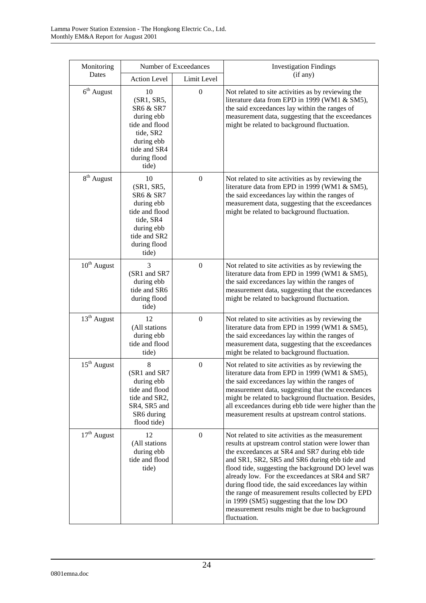| Monitoring             | Number of Exceedances                                                                                                                        |                  | <b>Investigation Findings</b>                                                                                                                                                                                                                                                                                                                                                                                                                                                                                                                 |  |
|------------------------|----------------------------------------------------------------------------------------------------------------------------------------------|------------------|-----------------------------------------------------------------------------------------------------------------------------------------------------------------------------------------------------------------------------------------------------------------------------------------------------------------------------------------------------------------------------------------------------------------------------------------------------------------------------------------------------------------------------------------------|--|
| Dates                  | <b>Action Level</b>                                                                                                                          | Limit Level      | (if any)                                                                                                                                                                                                                                                                                                                                                                                                                                                                                                                                      |  |
| $6th$ August           | 10<br>(SR1, SR5,<br>SR6 & SR7<br>during ebb<br>tide and flood<br>tide, SR2<br>during ebb<br>tide and SR4<br>during flood<br>tide)            | $\boldsymbol{0}$ | Not related to site activities as by reviewing the<br>literature data from EPD in 1999 (WM1 & SM5),<br>the said exceedances lay within the ranges of<br>measurement data, suggesting that the exceedances<br>might be related to background fluctuation.                                                                                                                                                                                                                                                                                      |  |
| 8 <sup>th</sup> August | 10<br>(SR1, SR5,<br><b>SR6 &amp; SR7</b><br>during ebb<br>tide and flood<br>tide, SR4<br>during ebb<br>tide and SR2<br>during flood<br>tide) | $\mathbf{0}$     | Not related to site activities as by reviewing the<br>literature data from EPD in 1999 (WM1 & SM5),<br>the said exceedances lay within the ranges of<br>measurement data, suggesting that the exceedances<br>might be related to background fluctuation.                                                                                                                                                                                                                                                                                      |  |
| $10^{\rm th}$ August   | 3<br>(SR1 and SR7)<br>during ebb<br>tide and SR6<br>during flood<br>tide)                                                                    | $\boldsymbol{0}$ | Not related to site activities as by reviewing the<br>literature data from EPD in 1999 (WM1 & SM5),<br>the said exceedances lay within the ranges of<br>measurement data, suggesting that the exceedances<br>might be related to background fluctuation.                                                                                                                                                                                                                                                                                      |  |
| $13th$ August          | 12<br>(All stations<br>during ebb<br>tide and flood<br>tide)                                                                                 | $\boldsymbol{0}$ | Not related to site activities as by reviewing the<br>literature data from EPD in 1999 (WM1 & SM5),<br>the said exceedances lay within the ranges of<br>measurement data, suggesting that the exceedances<br>might be related to background fluctuation.                                                                                                                                                                                                                                                                                      |  |
| $15th$ August          | 8<br>(SR1 and SR7<br>during ebb<br>tide and flood<br>tide and SR2,<br>SR4, SR5 and<br>SR6 during<br>flood tide)                              | $\boldsymbol{0}$ | Not related to site activities as by reviewing the<br>literature data from EPD in 1999 (WM1 & SM5),<br>the said exceedances lay within the ranges of<br>measurement data, suggesting that the exceedances<br>might be related to background fluctuation. Besides,<br>all exceedances during ebb tide were higher than the<br>measurement results at upstream control stations.                                                                                                                                                                |  |
| $17th$ August          | 12<br>(All stations<br>during ebb<br>tide and flood<br>tide)                                                                                 | $\boldsymbol{0}$ | Not related to site activities as the measurement<br>results at upstream control station were lower than<br>the exceedances at SR4 and SR7 during ebb tide<br>and SR1, SR2, SR5 and SR6 during ebb tide and<br>flood tide, suggesting the background DO level was<br>already low. For the exceedances at SR4 and SR7<br>during flood tide, the said exceedances lay within<br>the range of measurement results collected by EPD<br>in 1999 (SM5) suggesting that the low DO<br>measurement results might be due to background<br>fluctuation. |  |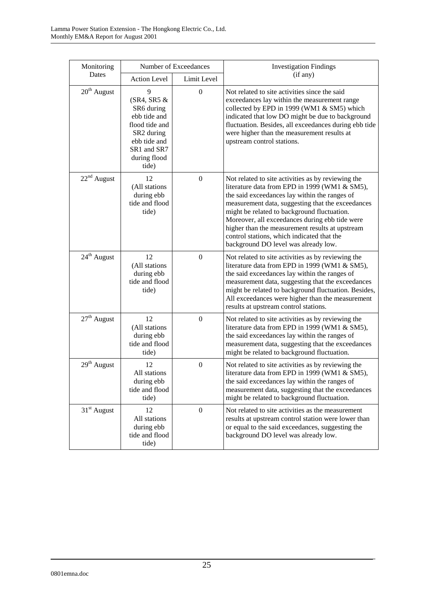| Monitoring              | Number of Exceedances                                                                                                                                 |                  | <b>Investigation Findings</b>                                                                                                                                                                                                                                                                                                                                                                                                                       |  |
|-------------------------|-------------------------------------------------------------------------------------------------------------------------------------------------------|------------------|-----------------------------------------------------------------------------------------------------------------------------------------------------------------------------------------------------------------------------------------------------------------------------------------------------------------------------------------------------------------------------------------------------------------------------------------------------|--|
| Dates                   | <b>Action Level</b>                                                                                                                                   | Limit Level      | (if any)                                                                                                                                                                                                                                                                                                                                                                                                                                            |  |
| $20th$ August           | 9<br>$(SR4, SR5 \&$<br>SR6 during<br>ebb tide and<br>flood tide and<br>SR <sub>2</sub> during<br>ebb tide and<br>SR1 and SR7<br>during flood<br>tide) | $\boldsymbol{0}$ | Not related to site activities since the said<br>exceedances lay within the measurement range<br>collected by EPD in 1999 (WM1 & SM5) which<br>indicated that low DO might be due to background<br>fluctuation. Besides, all exceedances during ebb tide<br>were higher than the measurement results at<br>upstream control stations.                                                                                                               |  |
| $22^{\rm nd}$ August    | 12<br>(All stations<br>during ebb<br>tide and flood<br>tide)                                                                                          | $\boldsymbol{0}$ | Not related to site activities as by reviewing the<br>literature data from EPD in 1999 (WM1 & SM5),<br>the said exceedances lay within the ranges of<br>measurement data, suggesting that the exceedances<br>might be related to background fluctuation.<br>Moreover, all exceedances during ebb tide were<br>higher than the measurement results at upstream<br>control stations, which indicated that the<br>background DO level was already low. |  |
| $24^{\text{th}}$ August | 12<br>(All stations<br>during ebb<br>tide and flood<br>tide)                                                                                          | $\overline{0}$   | Not related to site activities as by reviewing the<br>literature data from EPD in 1999 (WM1 & SM5),<br>the said exceedances lay within the ranges of<br>measurement data, suggesting that the exceedances<br>might be related to background fluctuation. Besides,<br>All exceedances were higher than the measurement<br>results at upstream control stations.                                                                                      |  |
| $27th$ August           | 12<br>(All stations<br>during ebb<br>tide and flood<br>tide)                                                                                          | $\overline{0}$   | Not related to site activities as by reviewing the<br>literature data from EPD in 1999 (WM1 & SM5),<br>the said exceedances lay within the ranges of<br>measurement data, suggesting that the exceedances<br>might be related to background fluctuation.                                                                                                                                                                                            |  |
| $29^{\text{th}}$ August | 12<br>All stations<br>during ebb<br>tide and flood<br>tide)                                                                                           | $\boldsymbol{0}$ | Not related to site activities as by reviewing the<br>literature data from EPD in 1999 (WM1 & SM5),<br>the said exceedances lay within the ranges of<br>measurement data, suggesting that the exceedances<br>might be related to background fluctuation.                                                                                                                                                                                            |  |
| $31st$ August           | 12<br>All stations<br>during ebb<br>tide and flood<br>tide)                                                                                           | $\boldsymbol{0}$ | Not related to site activities as the measurement<br>results at upstream control station were lower than<br>or equal to the said exceedances, suggesting the<br>background DO level was already low.                                                                                                                                                                                                                                                |  |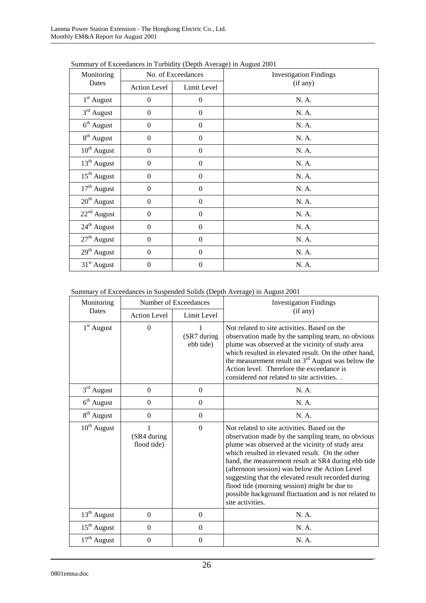| Monitoring          | No. of Exceedances |                  | <b>Investigation Findings</b> |
|---------------------|--------------------|------------------|-------------------------------|
| Dates               | Action Level       | Limit Level      | (if any)                      |
| $1st$ August        | $\mathbf{0}$       | $\mathbf{0}$     | N. A.                         |
| $3rd$ August        | $\boldsymbol{0}$   | $\mathbf{0}$     | N. A.                         |
| $6th$ August        | $\boldsymbol{0}$   | $\boldsymbol{0}$ | N. A.                         |
| $8^{\rm th}$ August | $\boldsymbol{0}$   | $\boldsymbol{0}$ | N. A.                         |
| $10^{th}$ August    | $\Omega$           | $\Omega$         | N. A.                         |
| $13th$ August       | $\boldsymbol{0}$   | $\boldsymbol{0}$ | N. A.                         |
| $15th$ August       | $\boldsymbol{0}$   | $\boldsymbol{0}$ | N. A.                         |
| $17th$ August       | $\Omega$           | $\Omega$         | N. A.                         |
| $20th$ August       | $\boldsymbol{0}$   | $\boldsymbol{0}$ | N. A.                         |
| $22nd$ August       | $\boldsymbol{0}$   | $\mathbf{0}$     | N. A.                         |
| $24th$ August       | $\Omega$           | $\overline{0}$   | N. A.                         |
| $27th$ August       | $\boldsymbol{0}$   | $\boldsymbol{0}$ | N. A.                         |
| $29th$ August       | $\boldsymbol{0}$   | $\mathbf{0}$     | N. A.                         |
| $31st$ August       | $\boldsymbol{0}$   | $\mathbf{0}$     | N. A.                         |

Summary of Exceedances in Turbidity (Depth Average) in August 2001

Summary of Exceedances in Suspended Solids (Depth Average) in August 2001

| Monitoring             | Number of Exceedances      |                          | <b>Investigation Findings</b>                                                                                                                                                                                                                                                                                                                                                                                                                                                                         |  |
|------------------------|----------------------------|--------------------------|-------------------------------------------------------------------------------------------------------------------------------------------------------------------------------------------------------------------------------------------------------------------------------------------------------------------------------------------------------------------------------------------------------------------------------------------------------------------------------------------------------|--|
| Dates                  | <b>Action Level</b>        | Limit Level              | (if any)                                                                                                                                                                                                                                                                                                                                                                                                                                                                                              |  |
| $1st$ August           | $\overline{0}$             | (SR7 during<br>ebb tide) | Not related to site activities. Based on the<br>observation made by the sampling team, no obvious<br>plume was observed at the vicinity of study area<br>which resulted in elevated result. On the other hand,<br>the measurement result on $3rd$ August was below the<br>Action level. Therefore the exceedance is<br>considered not related to site activities                                                                                                                                      |  |
| $3rd$ August           | $\boldsymbol{0}$           | $\mathbf{0}$             | N. A.                                                                                                                                                                                                                                                                                                                                                                                                                                                                                                 |  |
| $6th$ August           | $\theta$                   | $\overline{0}$           | N. A.                                                                                                                                                                                                                                                                                                                                                                                                                                                                                                 |  |
| 8 <sup>th</sup> August | $\overline{0}$             | $\overline{0}$           | N. A.                                                                                                                                                                                                                                                                                                                                                                                                                                                                                                 |  |
| $10^{th}$ August       | (SR4 during<br>flood tide) | $\Omega$                 | Not related to site activities. Based on the<br>observation made by the sampling team, no obvious<br>plume was observed at the vicinity of study area<br>which resulted in elevated result. On the other<br>hand, the measurement result at SR4 during ebb tide<br>(afternoon session) was below the Action Level<br>suggesting that the elevated result recorded during<br>flood tide (morning session) might be due to<br>possible background fluctuation and is not related to<br>site activities. |  |
| $13th$ August          | $\overline{0}$             | $\mathbf{0}$             | N. A.                                                                                                                                                                                                                                                                                                                                                                                                                                                                                                 |  |
| $15th$ August          | $\boldsymbol{0}$           | $\overline{0}$           | N. A.                                                                                                                                                                                                                                                                                                                                                                                                                                                                                                 |  |
| $17th$ August          | $\boldsymbol{0}$           | $\overline{0}$           | N. A.                                                                                                                                                                                                                                                                                                                                                                                                                                                                                                 |  |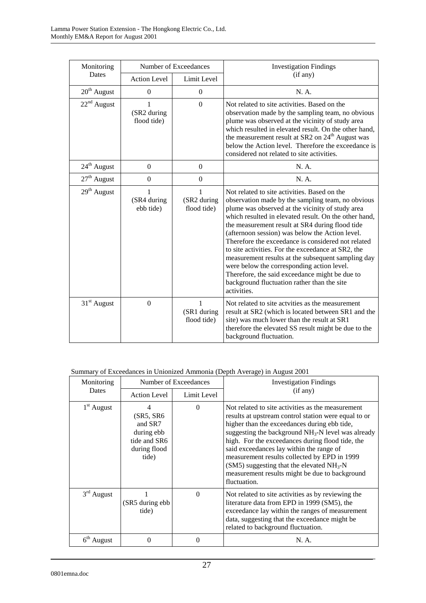| Monitoring    | Number of Exceedances           |                                            | <b>Investigation Findings</b>                                                                                                                                                                                                                                                                                                                                                                                                                                                                                                                                                                                                                        |  |
|---------------|---------------------------------|--------------------------------------------|------------------------------------------------------------------------------------------------------------------------------------------------------------------------------------------------------------------------------------------------------------------------------------------------------------------------------------------------------------------------------------------------------------------------------------------------------------------------------------------------------------------------------------------------------------------------------------------------------------------------------------------------------|--|
| Dates         | <b>Action Level</b>             | Limit Level                                | (if any)                                                                                                                                                                                                                                                                                                                                                                                                                                                                                                                                                                                                                                             |  |
| $20th$ August | $\Omega$                        | $\boldsymbol{0}$                           | N. A.                                                                                                                                                                                                                                                                                                                                                                                                                                                                                                                                                                                                                                                |  |
| $22nd$ August | 1<br>(SR2 during<br>flood tide) | $\boldsymbol{0}$                           | Not related to site activities. Based on the<br>observation made by the sampling team, no obvious<br>plume was observed at the vicinity of study area<br>which resulted in elevated result. On the other hand,<br>the measurement result at SR2 on 24 <sup>th</sup> August was<br>below the Action level. Therefore the exceedance is<br>considered not related to site activities.                                                                                                                                                                                                                                                                  |  |
| $24th$ August | $\Omega$                        | $\mathbf{0}$                               | N. A.                                                                                                                                                                                                                                                                                                                                                                                                                                                                                                                                                                                                                                                |  |
| $27th$ August | $\boldsymbol{0}$                | $\boldsymbol{0}$                           | N. A.                                                                                                                                                                                                                                                                                                                                                                                                                                                                                                                                                                                                                                                |  |
| $29th$ August | 1<br>(SR4 during<br>ebb tide)   | 1<br>(SR2 during<br>flood tide)            | Not related to site activities. Based on the<br>observation made by the sampling team, no obvious<br>plume was observed at the vicinity of study area<br>which resulted in elevated result. On the other hand,<br>the measurement result at SR4 during flood tide<br>(afternoon session) was below the Action level.<br>Therefore the exceedance is considered not related<br>to site activities. For the exceedance at SR2, the<br>measurement results at the subsequent sampling day<br>were below the corresponding action level.<br>Therefore, the said exceedance might be due to<br>background fluctuation rather than the site<br>activities. |  |
| $31st$ August | $\mathbf{0}$                    | $\mathbf{1}$<br>(SR1 during<br>flood tide) | Not related to site activties as the measurement<br>result at SR2 (which is located between SR1 and the<br>site) was much lower than the result at SR1<br>therefore the elevated SS result might be due to the<br>background fluctuation.                                                                                                                                                                                                                                                                                                                                                                                                            |  |

#### Summary of Exceedances in Unionized Ammonia (Depth Average) in August 2001

| Monitoring   | Number of Exceedances                                                             |             | <b>Investigation Findings</b>                                                                                                                                                                                                                                                                                                                                                                                                                                                                 |  |
|--------------|-----------------------------------------------------------------------------------|-------------|-----------------------------------------------------------------------------------------------------------------------------------------------------------------------------------------------------------------------------------------------------------------------------------------------------------------------------------------------------------------------------------------------------------------------------------------------------------------------------------------------|--|
| Dates        | <b>Action Level</b>                                                               | Limit Level | (if any)                                                                                                                                                                                                                                                                                                                                                                                                                                                                                      |  |
| $1st$ August | 4<br>(SR5, SR6)<br>and SR7<br>during ebb<br>tide and SR6<br>during flood<br>tide) | $\Omega$    | Not related to site activities as the measurement<br>results at upstream control station were equal to or<br>higher than the exceedances during ebb tide,<br>suggesting the background $NH3-N$ level was already<br>high. For the exceedances during flood tide, the<br>said exceedances lay within the range of<br>measurement results collected by EPD in 1999<br>$(SM5)$ suggesting that the elevated NH <sub>3</sub> -N<br>measurement results might be due to background<br>fluctuation. |  |
| $3rd$ August | (SR5 during ebb)<br>tide)                                                         | $\Omega$    | Not related to site activities as by reviewing the<br>literature data from EPD in 1999 (SM5), the<br>exceedance lay within the ranges of measurement<br>data, suggesting that the exceedance might be<br>related to background fluctuation.                                                                                                                                                                                                                                                   |  |
| $6th$ August | 0                                                                                 | 0           | N. A.                                                                                                                                                                                                                                                                                                                                                                                                                                                                                         |  |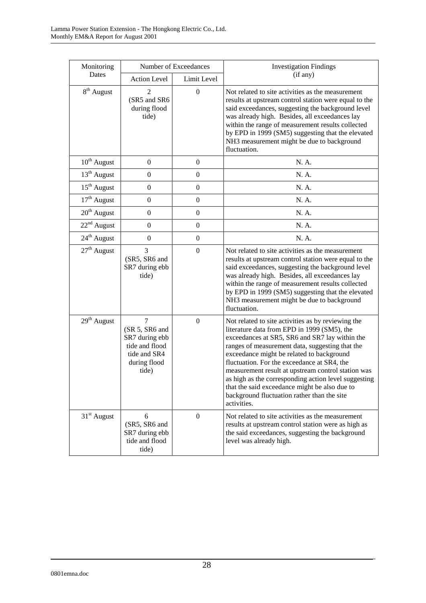| Monitoring             | Number of Exceedances                                                                                 |                  | <b>Investigation Findings</b>                                                                                                                                                                                                                                                                                                                                                                                                                                                                                                   |  |
|------------------------|-------------------------------------------------------------------------------------------------------|------------------|---------------------------------------------------------------------------------------------------------------------------------------------------------------------------------------------------------------------------------------------------------------------------------------------------------------------------------------------------------------------------------------------------------------------------------------------------------------------------------------------------------------------------------|--|
| Dates                  | <b>Action Level</b>                                                                                   | Limit Level      | (if any)                                                                                                                                                                                                                                                                                                                                                                                                                                                                                                                        |  |
| 8 <sup>th</sup> August | 2<br>(SR5 and SR6<br>during flood<br>tide)                                                            | $\boldsymbol{0}$ | Not related to site activities as the measurement<br>results at upstream control station were equal to the<br>said exceedances, suggesting the background level<br>was already high. Besides, all exceedances lay<br>within the range of measurement results collected<br>by EPD in 1999 (SM5) suggesting that the elevated<br>NH3 measurement might be due to background<br>fluctuation.                                                                                                                                       |  |
| $10^{th}$ August       | $\boldsymbol{0}$                                                                                      | $\boldsymbol{0}$ | N. A.                                                                                                                                                                                                                                                                                                                                                                                                                                                                                                                           |  |
| $13th$ August          | $\boldsymbol{0}$                                                                                      | $\boldsymbol{0}$ | N. A.                                                                                                                                                                                                                                                                                                                                                                                                                                                                                                                           |  |
| $15th$ August          | $\boldsymbol{0}$                                                                                      | $\boldsymbol{0}$ | N. A.                                                                                                                                                                                                                                                                                                                                                                                                                                                                                                                           |  |
| $17th$ August          | $\overline{0}$                                                                                        | $\boldsymbol{0}$ | N. A.                                                                                                                                                                                                                                                                                                                                                                                                                                                                                                                           |  |
| $20^{\rm th}$ August   | $\boldsymbol{0}$                                                                                      | $\boldsymbol{0}$ | N. A.                                                                                                                                                                                                                                                                                                                                                                                                                                                                                                                           |  |
| $22^{\rm nd}$ August   | $\boldsymbol{0}$                                                                                      | $\boldsymbol{0}$ | N. A.                                                                                                                                                                                                                                                                                                                                                                                                                                                                                                                           |  |
| $24th$ August          | $\mathbf{0}$                                                                                          | $\boldsymbol{0}$ | N. A.                                                                                                                                                                                                                                                                                                                                                                                                                                                                                                                           |  |
| $27th$ August          | 3<br>(SR5, SR6 and<br>SR7 during ebb<br>tide)                                                         | $\boldsymbol{0}$ | Not related to site activities as the measurement<br>results at upstream control station were equal to the<br>said exceedances, suggesting the background level<br>was already high. Besides, all exceedances lay<br>within the range of measurement results collected<br>by EPD in 1999 (SM5) suggesting that the elevated<br>NH3 measurement might be due to background<br>fluctuation.                                                                                                                                       |  |
| $29th$ August          | $\tau$<br>(SR 5, SR6 and<br>SR7 during ebb<br>tide and flood<br>tide and SR4<br>during flood<br>tide) | $\boldsymbol{0}$ | Not related to site activities as by reviewing the<br>literature data from EPD in 1999 (SM5), the<br>exceedances at SR5, SR6 and SR7 lay within the<br>ranges of measurement data, suggesting that the<br>exceedance might be related to background<br>fluctuation. For the exceedance at SR4, the<br>measurement result at upstream control station was<br>as high as the corresponding action level suggesting<br>that the said exceedance might be also due to<br>background fluctuation rather than the site<br>activities. |  |
| $31st$ August          | 6<br>(SR5, SR6 and<br>SR7 during ebb<br>tide and flood<br>tide)                                       | $\boldsymbol{0}$ | Not related to site activities as the measurement<br>results at upstream control station were as high as<br>the said exceedances, suggesting the background<br>level was already high.                                                                                                                                                                                                                                                                                                                                          |  |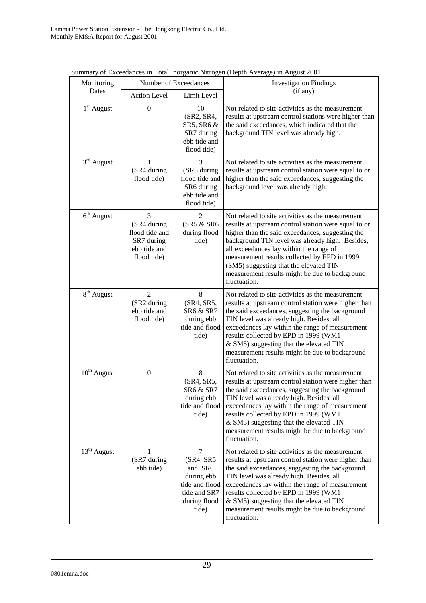| Monitoring             |                                                                                 | Number of Exceedances                                                                              | Summary of Exceedances in Total morganic ivitrogen (Depth Average) in August 2001<br><b>Investigation Findings</b><br>(if any)                                                                                                                                                                                                                                                                                          |  |  |
|------------------------|---------------------------------------------------------------------------------|----------------------------------------------------------------------------------------------------|-------------------------------------------------------------------------------------------------------------------------------------------------------------------------------------------------------------------------------------------------------------------------------------------------------------------------------------------------------------------------------------------------------------------------|--|--|
| Dates                  | <b>Action Level</b>                                                             | Limit Level                                                                                        |                                                                                                                                                                                                                                                                                                                                                                                                                         |  |  |
| 1 <sup>st</sup> August | $\overline{0}$                                                                  | 10<br>(SR2, SR4,<br>SR5, SR6 &<br>SR7 during<br>ebb tide and<br>flood tide)                        | Not related to site activities as the measurement<br>results at upstream control stations were higher than<br>the said exceedances, which indicated that the<br>background TIN level was already high.                                                                                                                                                                                                                  |  |  |
| $3rd$ August           | $\mathbf{1}$<br>(SR4 during<br>flood tide)                                      | 3<br>(SR5 during<br>flood tide and<br>SR6 during<br>ebb tide and<br>flood tide)                    | Not related to site activities as the measurement<br>results at upstream control station were equal to or<br>higher than the said exceedances, suggesting the<br>background level was already high.                                                                                                                                                                                                                     |  |  |
| $6th$ August           | 3<br>(SR4 during<br>flood tide and<br>SR7 during<br>ebb tide and<br>flood tide) | 2<br>(SR5 & SR6<br>during flood<br>tide)                                                           | Not related to site activities as the measurement<br>results at upstream control station were equal to or<br>higher than the said exceedances, suggesting the<br>background TIN level was already high. Besides,<br>all exceedances lay within the range of<br>measurement results collected by EPD in 1999<br>(SM5) suggesting that the elevated TIN<br>measurement results might be due to background<br>fluctuation. |  |  |
| $8^{th}$ August        | $\overline{2}$<br>(SR2 during<br>ebb tide and<br>flood tide)                    | 8<br>(SR4, SR5,<br>SR6 & SR7<br>during ebb<br>tide and flood<br>tide)                              | Not related to site activities as the measurement<br>results at upstream control station were higher than<br>the said exceedances, suggesting the background<br>TIN level was already high. Besides, all<br>exceedances lay within the range of measurement<br>results collected by EPD in 1999 (WM1<br>& SM5) suggesting that the elevated TIN<br>measurement results might be due to background<br>fluctuation.       |  |  |
| $10^{th}$ August       | $\boldsymbol{0}$                                                                | $\,8\,$<br>(SR4, SR5,<br>SR6 & SR7<br>during ebb<br>tide and flood<br>tide)                        | Not related to site activities as the measurement<br>results at upstream control station were higher than<br>the said exceedances, suggesting the background<br>TIN level was already high. Besides, all<br>exceedances lay within the range of measurement<br>results collected by EPD in 1999 (WM1<br>& SM5) suggesting that the elevated TIN<br>measurement results might be due to background<br>fluctuation.       |  |  |
| $13th$ August          | 1<br>(SR7 during<br>ebb tide)                                                   | 7<br>(SR4, SR5<br>and SR6<br>during ebb<br>tide and flood<br>tide and SR7<br>during flood<br>tide) | Not related to site activities as the measurement<br>results at upstream control station were higher than<br>the said exceedances, suggesting the background<br>TIN level was already high. Besides, all<br>exceedances lay within the range of measurement<br>results collected by EPD in 1999 (WM1<br>& SM5) suggesting that the elevated TIN<br>measurement results might be due to background<br>fluctuation.       |  |  |

Summary of Exceedances in Total Inorganic Nitrogen (Depth Average) in August 2001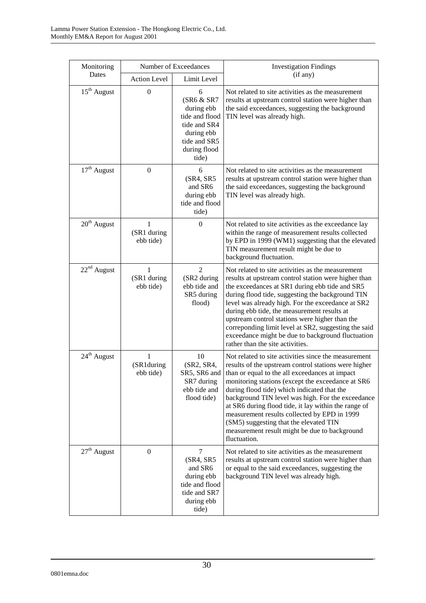| Monitoring              | Number of Exceedances         |                                                                                                                        | <b>Investigation Findings</b>                                                                                                                                                                                                                                                                                                                                                                                                                                                                                                              |  |
|-------------------------|-------------------------------|------------------------------------------------------------------------------------------------------------------------|--------------------------------------------------------------------------------------------------------------------------------------------------------------------------------------------------------------------------------------------------------------------------------------------------------------------------------------------------------------------------------------------------------------------------------------------------------------------------------------------------------------------------------------------|--|
| Dates                   | <b>Action Level</b>           | Limit Level                                                                                                            | (if any)                                                                                                                                                                                                                                                                                                                                                                                                                                                                                                                                   |  |
| $15th$ August           | $\boldsymbol{0}$              | 6<br>(SR6 & SR7<br>during ebb<br>tide and flood<br>tide and SR4<br>during ebb<br>tide and SR5<br>during flood<br>tide) | Not related to site activities as the measurement<br>results at upstream control station were higher than<br>the said exceedances, suggesting the background<br>TIN level was already high.                                                                                                                                                                                                                                                                                                                                                |  |
| $17th$ August           | $\boldsymbol{0}$              | 6<br>(SR4, SR5)<br>and SR6<br>during ebb<br>tide and flood<br>tide)                                                    | Not related to site activities as the measurement<br>results at upstream control station were higher than<br>the said exceedances, suggesting the background<br>TIN level was already high.                                                                                                                                                                                                                                                                                                                                                |  |
| $20th$ August           | 1<br>(SR1 during<br>ebb tide) | $\overline{0}$                                                                                                         | Not related to site activities as the exceedance lay<br>within the range of measurement results collected<br>by EPD in 1999 (WM1) suggesting that the elevated<br>TIN measurement result might be due to<br>background fluctuation.                                                                                                                                                                                                                                                                                                        |  |
| $22nd$ August           | 1<br>(SR1 during<br>ebb tide) | $\overline{2}$<br>(SR2 during<br>ebb tide and<br>SR5 during<br>flood)                                                  | Not related to site activities as the measurement<br>results at upstream control station were higher than<br>the exceedances at SR1 during ebb tide and SR5<br>during flood tide, suggesting the background TIN<br>level was already high. For the exceedance at SR2<br>during ebb tide, the measurement results at<br>upstream control stations were higher than the<br>correponding limit level at SR2, suggesting the said<br>exceedance might be due to background fluctuation<br>rather than the site activities.                     |  |
| 24 <sup>th</sup> August | 1<br>(SR1during<br>ebb tide)  | 10<br>(SR2, SR4,<br>SR5, SR6 and<br>SR7 during<br>ebb tide and<br>flood tide)                                          | Not related to site activities since the measurement<br>results of the upstream control stations were higher<br>than or equal to the all exceedances at impact<br>monitoring stations (except the exceedance at SR6<br>during flood tide) which indicated that the<br>background TIN level was high. For the exceedance<br>at SR6 during flood tide, it lay within the range of<br>measurement results collected by EPD in 1999<br>(SM5) suggesting that the elevated TIN<br>measurement result might be due to background<br>fluctuation. |  |
| $27th$ August           | $\boldsymbol{0}$              | 7<br>(SR4, SR5)<br>and SR6<br>during ebb<br>tide and flood<br>tide and SR7<br>during ebb<br>tide)                      | Not related to site activities as the measurement<br>results at upstream control station were higher than<br>or equal to the said exceedances, suggesting the<br>background TIN level was already high.                                                                                                                                                                                                                                                                                                                                    |  |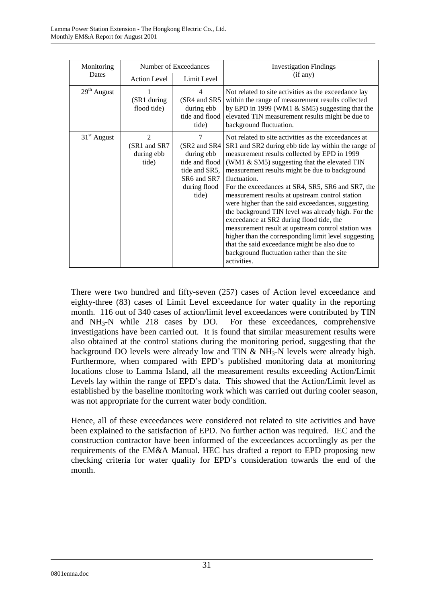| Monitoring    | Number of Exceedances                                 |                                                                                                                 | <b>Investigation Findings</b>                                                                                                                                                                                                                                                                                                                                                                                                                                                                                                                                                                                                                                                                                                                                             |  |
|---------------|-------------------------------------------------------|-----------------------------------------------------------------------------------------------------------------|---------------------------------------------------------------------------------------------------------------------------------------------------------------------------------------------------------------------------------------------------------------------------------------------------------------------------------------------------------------------------------------------------------------------------------------------------------------------------------------------------------------------------------------------------------------------------------------------------------------------------------------------------------------------------------------------------------------------------------------------------------------------------|--|
| Dates         | <b>Action Level</b>                                   | Limit Level                                                                                                     | (if any)                                                                                                                                                                                                                                                                                                                                                                                                                                                                                                                                                                                                                                                                                                                                                                  |  |
| $29th$ August | (SR1 during<br>flood tide)                            | 4<br>(SR4 and SR5<br>during ebb<br>tide and flood<br>tide)                                                      | Not related to site activities as the exceedance lay<br>within the range of measurement results collected<br>by EPD in 1999 (WM1 & SM5) suggesting that the<br>elevated TIN measurement results might be due to<br>background fluctuation.                                                                                                                                                                                                                                                                                                                                                                                                                                                                                                                                |  |
| $31st$ August | $\mathfrak{D}$<br>(SR1 and SR7<br>during ebb<br>tide) | $\tau$<br>(SR2 and SR4<br>during ebb<br>tide and flood<br>tide and SR5,<br>SR6 and SR7<br>during flood<br>tide) | Not related to site activities as the exceedances at<br>SR1 and SR2 during ebb tide lay within the range of<br>measurement results collected by EPD in 1999<br>(WM1 & SM5) suggesting that the elevated TIN<br>measurement results might be due to background<br>fluctuation.<br>For the exceedances at SR4, SR5, SR6 and SR7, the<br>measurement results at upstream control station<br>were higher than the said exceedances, suggesting<br>the background TIN level was already high. For the<br>exceedance at SR2 during flood tide, the<br>measurement result at upstream control station was<br>higher than the corresponding limit level suggesting<br>that the said exceedance might be also due to<br>background fluctuation rather than the site<br>activities. |  |

There were two hundred and fifty-seven (257) cases of Action level exceedance and eighty-three (83) cases of Limit Level exceedance for water quality in the reporting month. 116 out of 340 cases of action/limit level exceedances were contributed by TIN and NH3-N while 218 cases by DO. For these exceedances, comprehensive investigations have been carried out. It is found that similar measurement results were also obtained at the control stations during the monitoring period, suggesting that the background DO levels were already low and TIN  $&$  NH<sub>3</sub>-N levels were already high. Furthermore, when compared with EPD's published monitoring data at monitoring locations close to Lamma Island, all the measurement results exceeding Action/Limit Levels lay within the range of EPD's data. This showed that the Action/Limit level as established by the baseline monitoring work which was carried out during cooler season, was not appropriate for the current water body condition.

Hence, all of these exceedances were considered not related to site activities and have been explained to the satisfaction of EPD. No further action was required. IEC and the construction contractor have been informed of the exceedances accordingly as per the requirements of the EM&A Manual. HEC has drafted a report to EPD proposing new checking criteria for water quality for EPD's consideration towards the end of the month.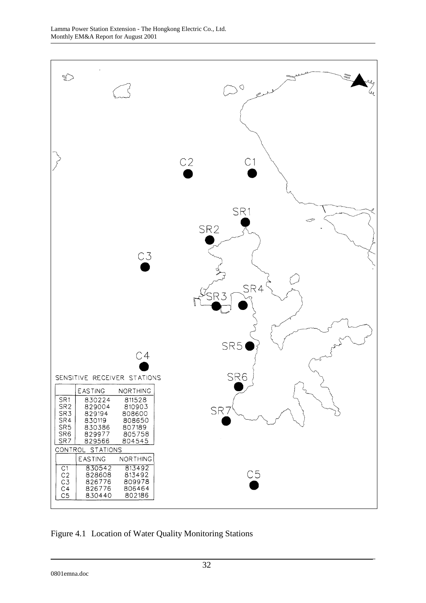

Figure 4.1 Location of Water Quality Monitoring Stations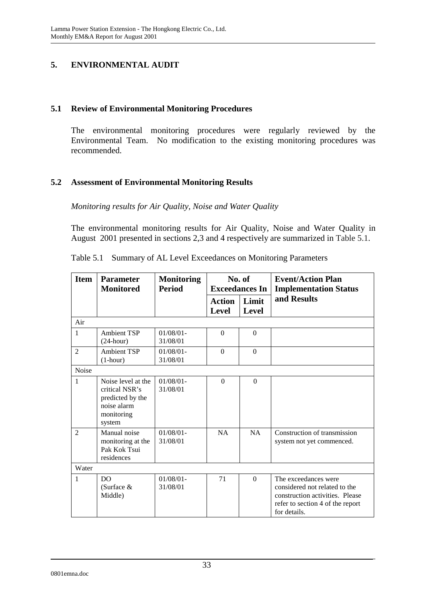## **5. ENVIRONMENTAL AUDIT**

#### **5.1 Review of Environmental Monitoring Procedures**

The environmental monitoring procedures were regularly reviewed by the Environmental Team. No modification to the existing monitoring procedures was recommended.

## **5.2 Assessment of Environmental Monitoring Results**

*Monitoring results for Air Quality, Noise and Water Quality* 

The environmental monitoring results for Air Quality, Noise and Water Quality in August 2001 presented in sections 2,3 and 4 respectively are summarized in Table 5.1.

| <b>Item</b>    | <b>Parameter</b><br><b>Monitored</b>                                                            | <b>Monitoring</b><br><b>Period</b> |                               | No. of<br><b>Exceedances In</b> | <b>Event/Action Plan</b><br><b>Implementation Status</b>                                                                                     |
|----------------|-------------------------------------------------------------------------------------------------|------------------------------------|-------------------------------|---------------------------------|----------------------------------------------------------------------------------------------------------------------------------------------|
|                |                                                                                                 |                                    | <b>Action</b><br><b>Level</b> | Limit<br><b>Level</b>           | and Results                                                                                                                                  |
| Air            |                                                                                                 |                                    |                               |                                 |                                                                                                                                              |
| 1              | <b>Ambient TSP</b><br>$(24$ -hour)                                                              | $01/08/01 -$<br>31/08/01           | $\Omega$                      | $\theta$                        |                                                                                                                                              |
| $\overline{2}$ | <b>Ambient TSP</b><br>$(1-hour)$                                                                | $01/08/01 -$<br>31/08/01           | $\Omega$                      | $\Omega$                        |                                                                                                                                              |
| Noise          |                                                                                                 |                                    |                               |                                 |                                                                                                                                              |
| 1              | Noise level at the<br>critical NSR's<br>predicted by the<br>noise alarm<br>monitoring<br>system | $01/08/01 -$<br>31/08/01           | $\Omega$                      | $\Omega$                        |                                                                                                                                              |
| $\mathfrak{D}$ | Manual noise<br>monitoring at the<br>Pak Kok Tsui<br>residences                                 | $01/08/01 -$<br>31/08/01           | NA                            | NA                              | Construction of transmission<br>system not yet commenced.                                                                                    |
| Water          |                                                                                                 |                                    |                               |                                 |                                                                                                                                              |
| 1              | DO<br>(Surface $&$<br>Middle)                                                                   | $01/08/01$ -<br>31/08/01           | 71                            | $\Omega$                        | The exceedances were<br>considered not related to the<br>construction activities. Please<br>refer to section 4 of the report<br>for details. |

Table 5.1 Summary of AL Level Exceedances on Monitoring Parameters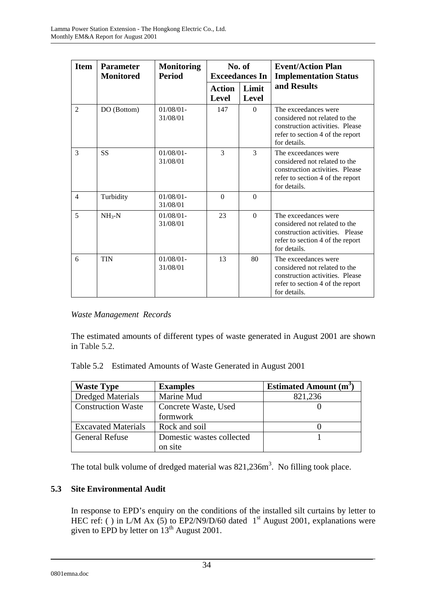| <b>Item</b>    | <b>Parameter</b><br><b>Monitored</b> | <b>Monitoring</b><br><b>Period</b> | No. of<br><b>Exceedances In</b> |                       | <b>Event/Action Plan</b><br><b>Implementation Status</b>                                                                                     |
|----------------|--------------------------------------|------------------------------------|---------------------------------|-----------------------|----------------------------------------------------------------------------------------------------------------------------------------------|
|                |                                      |                                    | <b>Action</b><br><b>Level</b>   | Limit<br><b>Level</b> | and Results                                                                                                                                  |
| $\overline{2}$ | DO (Bottom)                          | $01/08/01 -$<br>31/08/01           | 147                             | $\theta$              | The exceedances were<br>considered not related to the<br>construction activities. Please<br>refer to section 4 of the report<br>for details. |
| 3              | <b>SS</b>                            | $01/08/01 -$<br>31/08/01           | 3                               | 3                     | The exceedances were<br>considered not related to the<br>construction activities. Please<br>refer to section 4 of the report<br>for details. |
| $\overline{4}$ | Turbidity                            | $01/08/01 -$<br>31/08/01           | $\Omega$                        | $\Omega$              |                                                                                                                                              |
| 5              | $NH3-N$                              | $01/08/01$ -<br>31/08/01           | 23                              | $\Omega$              | The exceedances were<br>considered not related to the<br>construction activities. Please<br>refer to section 4 of the report<br>for details. |
| 6              | <b>TIN</b>                           | $01/08/01 -$<br>31/08/01           | 13                              | 80                    | The exceedances were<br>considered not related to the<br>construction activities. Please<br>refer to section 4 of the report<br>for details. |

## *Waste Management Records*

The estimated amounts of different types of waste generated in August 2001 are shown in Table 5.2.

Table 5.2 Estimated Amounts of Waste Generated in August 2001

| <b>Waste Type</b>          | <b>Examples</b>           | <b>Estimated Amount (m<sup>3</sup></b> |
|----------------------------|---------------------------|----------------------------------------|
| <b>Dredged Materials</b>   | Marine Mud                | 821,236                                |
| <b>Construction Waste</b>  | Concrete Waste, Used      |                                        |
|                            | formwork                  |                                        |
| <b>Excavated Materials</b> | Rock and soil             |                                        |
| <b>General Refuse</b>      | Domestic wastes collected |                                        |
|                            | on site                   |                                        |

The total bulk volume of dredged material was  $821,236m^3$ . No filling took place.

## **5.3 Site Environmental Audit**

In response to EPD's enquiry on the conditions of the installed silt curtains by letter to HEC ref: ( ) in L/M Ax (5) to EP2/N9/D/60 dated  $1<sup>st</sup>$  August 2001, explanations were given to EPD by letter on  $13^{th}$  August 2001.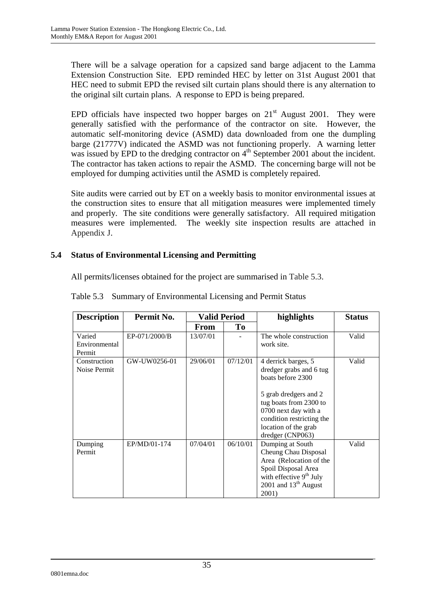There will be a salvage operation for a capsized sand barge adjacent to the Lamma Extension Construction Site. EPD reminded HEC by letter on 31st August 2001 that HEC need to submit EPD the revised silt curtain plans should there is any alternation to the original silt curtain plans.A response to EPD is being prepared.

EPD officials have inspected two hopper barges on  $21<sup>st</sup>$  August 2001. They were generally satisfied with the performance of the contractor on site. However, the automatic self-monitoring device (ASMD) data downloaded from one the dumpling barge (21777V) indicated the ASMD was not functioning properly. A warning letter was issued by EPD to the dredging contractor on  $4<sup>th</sup>$  September 2001 about the incident. The contractor has taken actions to repair the ASMD. The concerning barge will not be employed for dumping activities until the ASMD is completely repaired.

Site audits were carried out by ET on a weekly basis to monitor environmental issues at the construction sites to ensure that all mitigation measures were implemented timely and properly. The site conditions were generally satisfactory. All required mitigation measures were implemented. The weekly site inspection results are attached in Appendix J.

## **5.4 Status of Environmental Licensing and Permitting**

All permits/licenses obtained for the project are summarised in Table 5.3.

| <b>Description</b>                | Permit No.    | <b>Valid Period</b> |          | highlights                                                                                                                                                                                                              | <b>Status</b> |
|-----------------------------------|---------------|---------------------|----------|-------------------------------------------------------------------------------------------------------------------------------------------------------------------------------------------------------------------------|---------------|
|                                   |               | From                | Tо       |                                                                                                                                                                                                                         |               |
| Varied<br>Environmental<br>Permit | EP-071/2000/B | 13/07/01            |          | The whole construction<br>work site.                                                                                                                                                                                    | Valid         |
| Construction<br>Noise Permit      | GW-UW0256-01  | 29/06/01            | 07/12/01 | 4 derrick barges, 5<br>dredger grabs and 6 tug<br>boats before 2300<br>5 grab dredgers and 2<br>tug boats from 2300 to<br>0700 next day with a<br>condition restricting the<br>location of the grab<br>dredger (CNP063) | Valid         |
| Dumping<br>Permit                 | EP/MD/01-174  | 07/04/01            | 06/10/01 | Dumping at South<br>Cheung Chau Disposal<br>Area (Relocation of the<br>Spoil Disposal Area<br>with effective $9th$ July<br>2001 and $13th$ August<br>2001)                                                              | Valid         |

Table 5.3 Summary of Environmental Licensing and Permit Status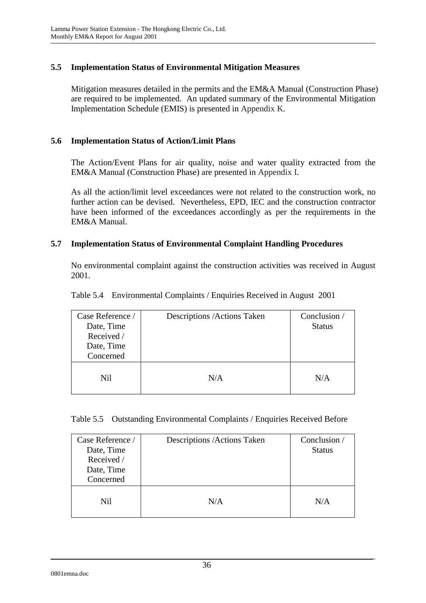## **5.5 Implementation Status of Environmental Mitigation Measures**

Mitigation measures detailed in the permits and the EM&A Manual (Construction Phase) are required to be implemented. An updated summary of the Environmental Mitigation Implementation Schedule (EMIS) is presented in Appendix K.

## **5.6 Implementation Status of Action/Limit Plans**

The Action/Event Plans for air quality, noise and water quality extracted from the EM&A Manual (Construction Phase) are presented in Appendix I.

As all the action/limit level exceedances were not related to the construction work, no further action can be devised. Nevertheless, EPD, IEC and the construction contractor have been informed of the exceedances accordingly as per the requirements in the EM&A Manual.

## **5.7 Implementation Status of Environmental Complaint Handling Procedures**

No environmental complaint against the construction activities was received in August 2001.

| Case Reference /<br>Date, Time<br>Received /<br>Date, Time<br>Concerned | Descriptions / Actions Taken | Conclusion /<br><b>Status</b> |
|-------------------------------------------------------------------------|------------------------------|-------------------------------|
| Nil                                                                     | N/A                          | N/A                           |

Table 5.4 Environmental Complaints / Enquiries Received in August 2001

|  |  | Table 5.5 Outstanding Environmental Complaints / Enquiries Received Before |
|--|--|----------------------------------------------------------------------------|
|  |  |                                                                            |

| Case Reference /<br>Date, Time<br>Received /<br>Date, Time<br>Concerned | Descriptions / Actions Taken | Conclusion /<br><b>Status</b> |
|-------------------------------------------------------------------------|------------------------------|-------------------------------|
| Nil                                                                     | N/A                          | N/A                           |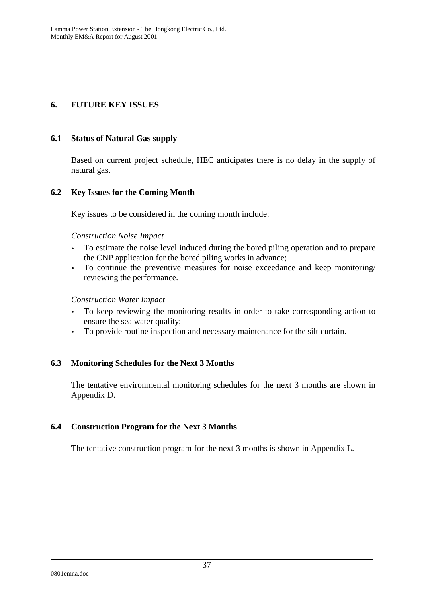## **6. FUTURE KEY ISSUES**

#### **6.1 Status of Natural Gas supply**

Based on current project schedule, HEC anticipates there is no delay in the supply of natural gas.

## **6.2 Key Issues for the Coming Month**

Key issues to be considered in the coming month include:

#### *Construction Noise Impact*

- To estimate the noise level induced during the bored piling operation and to prepare the CNP application for the bored piling works in advance;
- To continue the preventive measures for noise exceedance and keep monitoring/ reviewing the performance.

#### *Construction Water Impact*

- To keep reviewing the monitoring results in order to take corresponding action to ensure the sea water quality;
- To provide routine inspection and necessary maintenance for the silt curtain.

## **6.3 Monitoring Schedules for the Next 3 Months**

The tentative environmental monitoring schedules for the next 3 months are shown in Appendix D.

## **6.4 Construction Program for the Next 3 Months**

The tentative construction program for the next 3 months is shown in Appendix L.